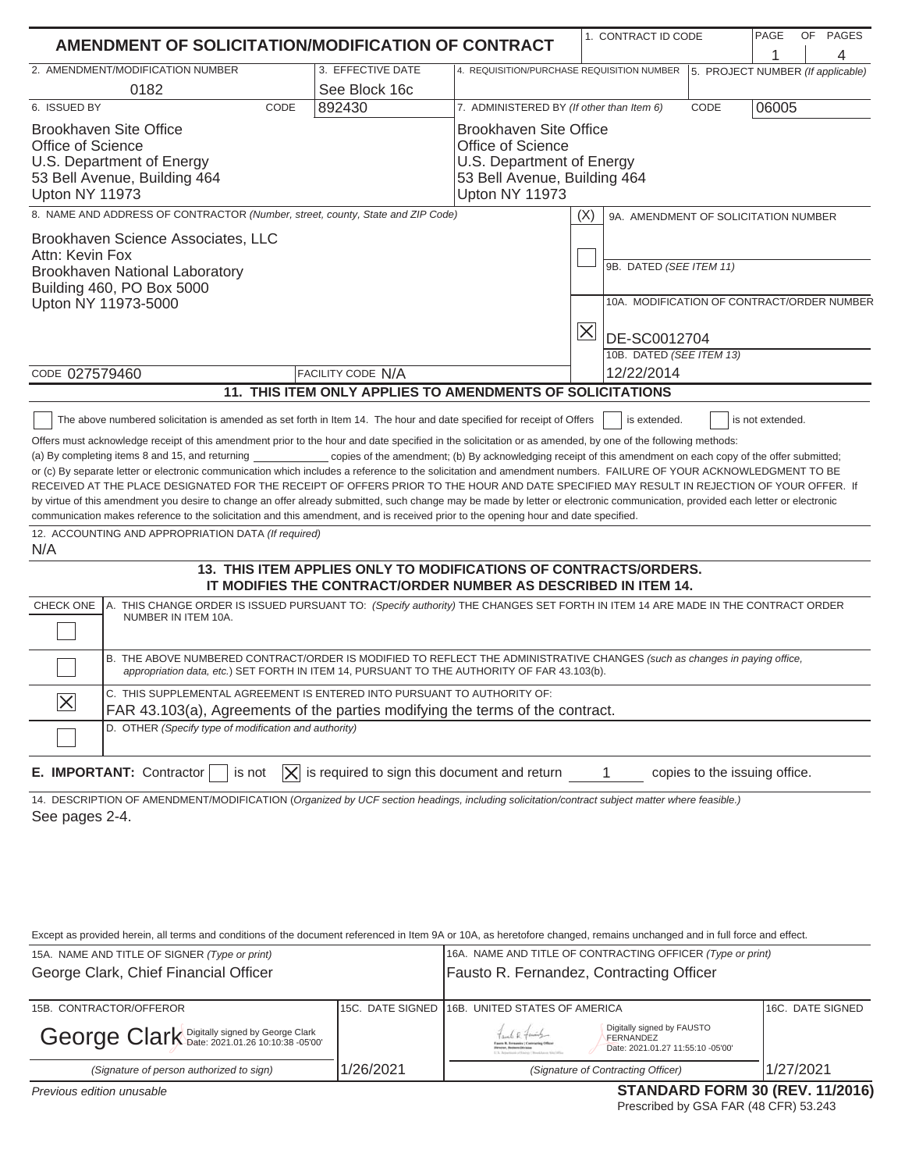|                                                                                                                                                                                                                                                                                                                                                                                                                                                                                                                                                                                                                                                                                                                                                                                                                                                                                                                                                                                                                                                                                                                                                                                                                                                                                                                                                                                                                                                                                                                                                                                                                                                                                                                                                                                                                                                                                                                                                                                                                                                                                                                                |                                                           |                                                                                                                                          | 1. CONTRACT ID CODE                                                                                          |      | PAGE  | OF<br>PAGES |
|--------------------------------------------------------------------------------------------------------------------------------------------------------------------------------------------------------------------------------------------------------------------------------------------------------------------------------------------------------------------------------------------------------------------------------------------------------------------------------------------------------------------------------------------------------------------------------------------------------------------------------------------------------------------------------------------------------------------------------------------------------------------------------------------------------------------------------------------------------------------------------------------------------------------------------------------------------------------------------------------------------------------------------------------------------------------------------------------------------------------------------------------------------------------------------------------------------------------------------------------------------------------------------------------------------------------------------------------------------------------------------------------------------------------------------------------------------------------------------------------------------------------------------------------------------------------------------------------------------------------------------------------------------------------------------------------------------------------------------------------------------------------------------------------------------------------------------------------------------------------------------------------------------------------------------------------------------------------------------------------------------------------------------------------------------------------------------------------------------------------------------|-----------------------------------------------------------|------------------------------------------------------------------------------------------------------------------------------------------|--------------------------------------------------------------------------------------------------------------|------|-------|-------------|
| <b>AMENDMENT OF SOLICITATION/MODIFICATION OF CONTRACT</b>                                                                                                                                                                                                                                                                                                                                                                                                                                                                                                                                                                                                                                                                                                                                                                                                                                                                                                                                                                                                                                                                                                                                                                                                                                                                                                                                                                                                                                                                                                                                                                                                                                                                                                                                                                                                                                                                                                                                                                                                                                                                      |                                                           |                                                                                                                                          |                                                                                                              |      |       | 4           |
| 2. AMENDMENT/MODIFICATION NUMBER                                                                                                                                                                                                                                                                                                                                                                                                                                                                                                                                                                                                                                                                                                                                                                                                                                                                                                                                                                                                                                                                                                                                                                                                                                                                                                                                                                                                                                                                                                                                                                                                                                                                                                                                                                                                                                                                                                                                                                                                                                                                                               | 3. EFFECTIVE DATE                                         | 4. REQUISITION/PURCHASE REQUISITION NUMBER<br>5. PROJECT NUMBER (If applicable)                                                          |                                                                                                              |      |       |             |
| 0182                                                                                                                                                                                                                                                                                                                                                                                                                                                                                                                                                                                                                                                                                                                                                                                                                                                                                                                                                                                                                                                                                                                                                                                                                                                                                                                                                                                                                                                                                                                                                                                                                                                                                                                                                                                                                                                                                                                                                                                                                                                                                                                           | See Block 16c                                             |                                                                                                                                          |                                                                                                              |      |       |             |
| 6. ISSUED BY<br>CODE                                                                                                                                                                                                                                                                                                                                                                                                                                                                                                                                                                                                                                                                                                                                                                                                                                                                                                                                                                                                                                                                                                                                                                                                                                                                                                                                                                                                                                                                                                                                                                                                                                                                                                                                                                                                                                                                                                                                                                                                                                                                                                           | 892430                                                    | 7. ADMINISTERED BY (If other than Item 6)                                                                                                |                                                                                                              | CODE | 06005 |             |
| <b>Brookhaven Site Office</b><br><b>Office of Science</b><br>U.S. Department of Energy<br>53 Bell Avenue, Building 464<br>Upton NY 11973                                                                                                                                                                                                                                                                                                                                                                                                                                                                                                                                                                                                                                                                                                                                                                                                                                                                                                                                                                                                                                                                                                                                                                                                                                                                                                                                                                                                                                                                                                                                                                                                                                                                                                                                                                                                                                                                                                                                                                                       |                                                           | <b>Brookhaven Site Office</b><br><b>Office of Science</b><br>U.S. Department of Energy<br>53 Bell Avenue, Building 464<br>Upton NY 11973 |                                                                                                              |      |       |             |
| 8. NAME AND ADDRESS OF CONTRACTOR (Number, street, county, State and ZIP Code)                                                                                                                                                                                                                                                                                                                                                                                                                                                                                                                                                                                                                                                                                                                                                                                                                                                                                                                                                                                                                                                                                                                                                                                                                                                                                                                                                                                                                                                                                                                                                                                                                                                                                                                                                                                                                                                                                                                                                                                                                                                 |                                                           |                                                                                                                                          | (X)<br>9A. AMENDMENT OF SOLICITATION NUMBER                                                                  |      |       |             |
| Brookhaven Science Associates, LLC<br>Attn: Kevin Fox<br>Brookhaven National Laboratory<br>Building 460, PO Box 5000<br>Upton NY 11973-5000                                                                                                                                                                                                                                                                                                                                                                                                                                                                                                                                                                                                                                                                                                                                                                                                                                                                                                                                                                                                                                                                                                                                                                                                                                                                                                                                                                                                                                                                                                                                                                                                                                                                                                                                                                                                                                                                                                                                                                                    |                                                           |                                                                                                                                          | 9B. DATED (SEE ITEM 11)<br>10A. MODIFICATION OF CONTRACT/ORDER NUMBER<br>$\overline{\times}$<br>DE-SC0012704 |      |       |             |
|                                                                                                                                                                                                                                                                                                                                                                                                                                                                                                                                                                                                                                                                                                                                                                                                                                                                                                                                                                                                                                                                                                                                                                                                                                                                                                                                                                                                                                                                                                                                                                                                                                                                                                                                                                                                                                                                                                                                                                                                                                                                                                                                |                                                           |                                                                                                                                          | 10B. DATED (SEE ITEM 13)                                                                                     |      |       |             |
| CODE 027579460                                                                                                                                                                                                                                                                                                                                                                                                                                                                                                                                                                                                                                                                                                                                                                                                                                                                                                                                                                                                                                                                                                                                                                                                                                                                                                                                                                                                                                                                                                                                                                                                                                                                                                                                                                                                                                                                                                                                                                                                                                                                                                                 | <b>FACILITY CODE N/A</b>                                  |                                                                                                                                          | 12/22/2014                                                                                                   |      |       |             |
|                                                                                                                                                                                                                                                                                                                                                                                                                                                                                                                                                                                                                                                                                                                                                                                                                                                                                                                                                                                                                                                                                                                                                                                                                                                                                                                                                                                                                                                                                                                                                                                                                                                                                                                                                                                                                                                                                                                                                                                                                                                                                                                                | 11. THIS ITEM ONLY APPLIES TO AMENDMENTS OF SOLICITATIONS |                                                                                                                                          |                                                                                                              |      |       |             |
| is not extended.<br>The above numbered solicitation is amended as set forth in Item 14. The hour and date specified for receipt of Offers<br>is extended.<br>Offers must acknowledge receipt of this amendment prior to the hour and date specified in the solicitation or as amended, by one of the following methods:<br>(a) By completing items 8 and 15, and returning<br>copies of the amendment; (b) By acknowledging receipt of this amendment on each copy of the offer submitted;<br>or (c) By separate letter or electronic communication which includes a reference to the solicitation and amendment numbers. FAILURE OF YOUR ACKNOWLEDGMENT TO BE<br>RECEIVED AT THE PLACE DESIGNATED FOR THE RECEIPT OF OFFERS PRIOR TO THE HOUR AND DATE SPECIFIED MAY RESULT IN REJECTION OF YOUR OFFER. If<br>by virtue of this amendment you desire to change an offer already submitted, such change may be made by letter or electronic communication, provided each letter or electronic<br>communication makes reference to the solicitation and this amendment, and is received prior to the opening hour and date specified.<br>12. ACCOUNTING AND APPROPRIATION DATA (If required)<br>N/A<br>13. THIS ITEM APPLIES ONLY TO MODIFICATIONS OF CONTRACTS/ORDERS.<br>IT MODIFIES THE CONTRACT/ORDER NUMBER AS DESCRIBED IN ITEM 14.<br>CHECK ONE<br>A. THIS CHANGE ORDER IS ISSUED PURSUANT TO: (Specify authority) THE CHANGES SET FORTH IN ITEM 14 ARE MADE IN THE CONTRACT ORDER<br>NUMBER IN ITEM 10A.<br>B. THE ABOVE NUMBERED CONTRACT/ORDER IS MODIFIED TO REFLECT THE ADMINISTRATIVE CHANGES (such as changes in paying office,<br>appropriation data, etc.) SET FORTH IN ITEM 14, PURSUANT TO THE AUTHORITY OF FAR 43.103(b).<br>C. THIS SUPPLEMENTAL AGREEMENT IS ENTERED INTO PURSUANT TO AUTHORITY OF:<br>$\overline{\times}$<br>FAR 43.103(a), Agreements of the parties modifying the terms of the contract.<br>D. OTHER (Specify type of modification and authority)<br>$ \mathsf{X} $ is required to sign this document and return<br>E. IMPORTANT: Contractor<br>copies to the issuing office.<br>is not |                                                           |                                                                                                                                          |                                                                                                              |      |       |             |
| 14. DESCRIPTION OF AMENDMENT/MODIFICATION (Organized by UCF section headings, including solicitation/contract subject matter where feasible.)<br>See pages 2-4.<br>Except as provided herein, all terms and conditions of the document referenced in Item 9A or 10A, as heretofore changed, remains unchanged and in full force and effect.<br>15A. NAME AND TITLE OF SIGNER (Type or print)                                                                                                                                                                                                                                                                                                                                                                                                                                                                                                                                                                                                                                                                                                                                                                                                                                                                                                                                                                                                                                                                                                                                                                                                                                                                                                                                                                                                                                                                                                                                                                                                                                                                                                                                   |                                                           | 16A. NAME AND TITLE OF CONTRACTING OFFICER (Type or print)                                                                               |                                                                                                              |      |       |             |
| George Clark, Chief Financial Officer<br>Fausto R. Fernandez, Contracting Officer                                                                                                                                                                                                                                                                                                                                                                                                                                                                                                                                                                                                                                                                                                                                                                                                                                                                                                                                                                                                                                                                                                                                                                                                                                                                                                                                                                                                                                                                                                                                                                                                                                                                                                                                                                                                                                                                                                                                                                                                                                              |                                                           |                                                                                                                                          |                                                                                                              |      |       |             |

| $\frac{1}{2}$                                 |           |                                                                                                                                                                                                                                    |                  |
|-----------------------------------------------|-----------|------------------------------------------------------------------------------------------------------------------------------------------------------------------------------------------------------------------------------------|------------------|
| 15B. CONTRACTOR/OFFEROR                       |           | 115C. DATE SIGNED 116B. UNITED STATES OF AMERICA                                                                                                                                                                                   | 16C. DATE SIGNED |
| George Clark Digitally signed by George Clark |           | Digitally signed by FAUSTO<br>Fant R family<br>FERNANDEZ<br>Faxeto B. Fernándor   Contractório Office<br>Date: 2021.01.27 11:55:10 -05'00'<br>Dirscher, Resisons Eticisius<br>1.5. Skilantinian of English China Library Sta. 1976 |                  |
| (Signature of person authorized to sign)      | 1/26/2021 | (Signature of Contracting Officer)                                                                                                                                                                                                 | 1/27/2021        |
|                                               |           |                                                                                                                                                                                                                                    |                  |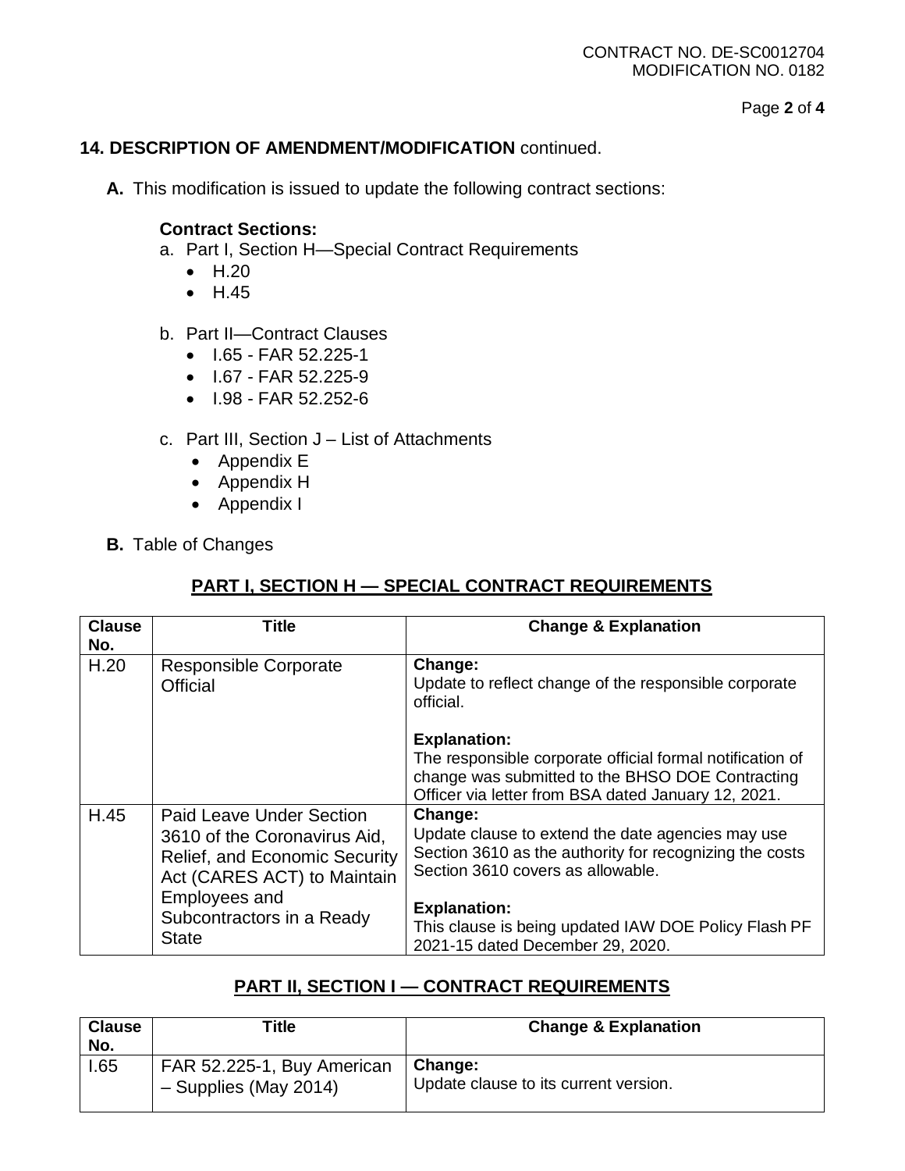### CONTRACT NO. DE-SC0012704 MODIFICATION NO. 0182

Page **2** of **4**

### **14. DESCRIPTION OF AMENDMENT/MODIFICATION** continued.

**A.** This modification is issued to update the following contract sections:

### **Contract Sections:**

- a. Part I, Section H—Special Contract Requirements
	- H.20
	- H.45
- b. Part II—Contract Clauses
	- I.65 FAR 52.225-1
	- I.67 FAR 52.225-9
	- I.98 FAR 52.252-6
- c. Part III, Section J List of Attachments
	- Appendix E
	- Appendix H
	- Appendix I
- **B.** Table of Changes

## **PART I, SECTION H — SPECIAL CONTRACT REQUIREMENTS**

| <b>Clause</b><br>No. | Title                                                                                                                                                                                                | <b>Change &amp; Explanation</b>                                                                                                                                                                                                                                                 |
|----------------------|------------------------------------------------------------------------------------------------------------------------------------------------------------------------------------------------------|---------------------------------------------------------------------------------------------------------------------------------------------------------------------------------------------------------------------------------------------------------------------------------|
| H.20                 | <b>Responsible Corporate</b><br>Official                                                                                                                                                             | Change:<br>Update to reflect change of the responsible corporate<br>official.                                                                                                                                                                                                   |
|                      |                                                                                                                                                                                                      | <b>Explanation:</b><br>The responsible corporate official formal notification of<br>change was submitted to the BHSO DOE Contracting<br>Officer via letter from BSA dated January 12, 2021.                                                                                     |
| H.45                 | Paid Leave Under Section<br>3610 of the Coronavirus Aid,<br><b>Relief, and Economic Security</b><br>Act (CARES ACT) to Maintain<br><b>Employees and</b><br>Subcontractors in a Ready<br><b>State</b> | Change:<br>Update clause to extend the date agencies may use<br>Section 3610 as the authority for recognizing the costs<br>Section 3610 covers as allowable.<br><b>Explanation:</b><br>This clause is being updated IAW DOE Policy Flash PF<br>2021-15 dated December 29, 2020. |

## **PART II, SECTION I — CONTRACT REQUIREMENTS**

| <b>Clause</b><br>No. | Title                                               | <b>Change &amp; Explanation</b>                  |
|----------------------|-----------------------------------------------------|--------------------------------------------------|
| .65                  | FAR 52.225-1, Buy American<br>- Supplies (May 2014) | Change:<br>Update clause to its current version. |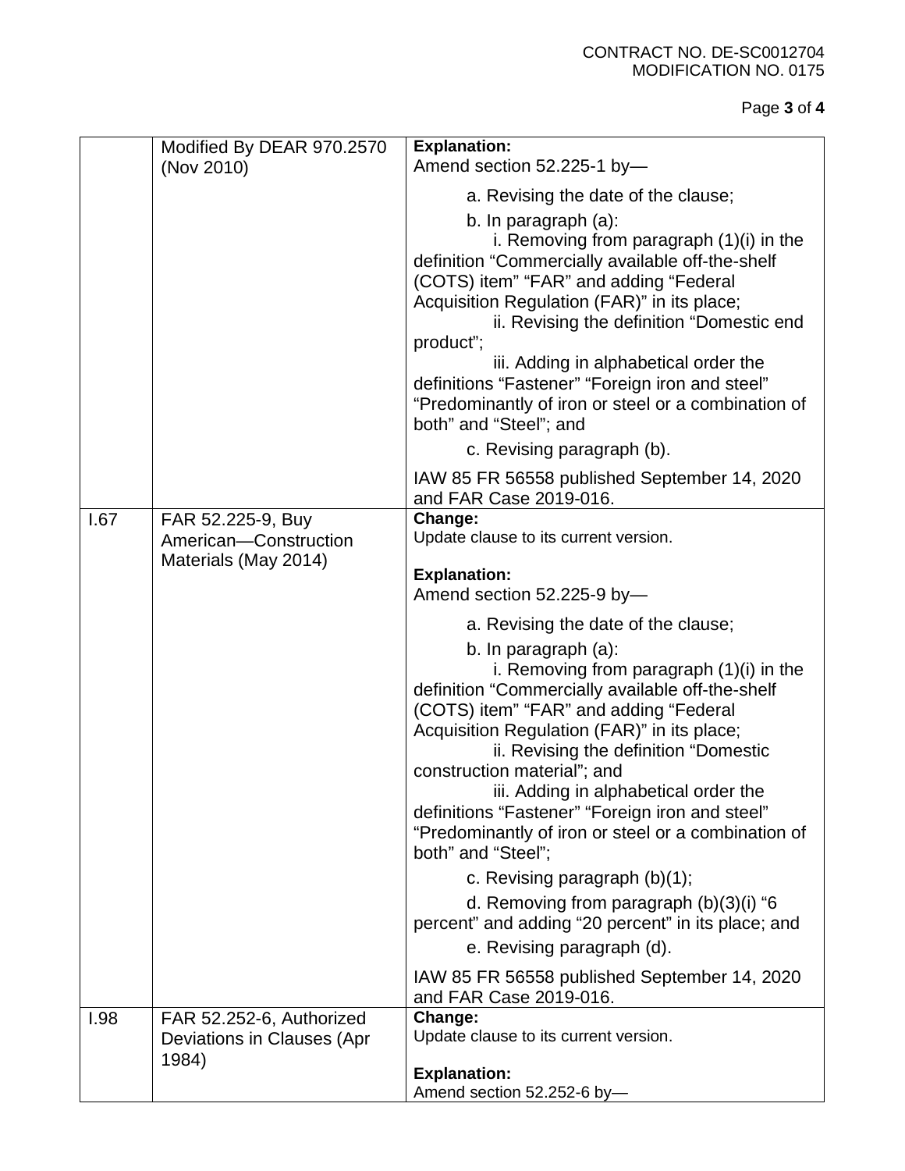### CONTRACT NO. DE-SC0012704 MODIFICATION NO. 0175

# Page **3** of **4**

|      | Modified By DEAR 970.2570                              | <b>Explanation:</b>                                                                                                                                                                                                                                                                                                                                                                                                                                                                                                                                                                   |
|------|--------------------------------------------------------|---------------------------------------------------------------------------------------------------------------------------------------------------------------------------------------------------------------------------------------------------------------------------------------------------------------------------------------------------------------------------------------------------------------------------------------------------------------------------------------------------------------------------------------------------------------------------------------|
|      | (Nov 2010)                                             | Amend section 52.225-1 by-                                                                                                                                                                                                                                                                                                                                                                                                                                                                                                                                                            |
|      |                                                        | a. Revising the date of the clause;                                                                                                                                                                                                                                                                                                                                                                                                                                                                                                                                                   |
|      |                                                        | b. In paragraph (a):<br>i. Removing from paragraph $(1)(i)$ in the<br>definition "Commercially available off-the-shelf<br>(COTS) item" "FAR" and adding "Federal<br>Acquisition Regulation (FAR)" in its place;<br>ii. Revising the definition "Domestic end                                                                                                                                                                                                                                                                                                                          |
|      |                                                        | product";<br>iii. Adding in alphabetical order the<br>definitions "Fastener" "Foreign iron and steel"<br>"Predominantly of iron or steel or a combination of<br>both" and "Steel"; and                                                                                                                                                                                                                                                                                                                                                                                                |
|      |                                                        | c. Revising paragraph (b).                                                                                                                                                                                                                                                                                                                                                                                                                                                                                                                                                            |
|      |                                                        | IAW 85 FR 56558 published September 14, 2020<br>and FAR Case 2019-016.                                                                                                                                                                                                                                                                                                                                                                                                                                                                                                                |
| 1.67 | FAR 52.225-9, Buy<br>American-Construction             | Change:<br>Update clause to its current version.                                                                                                                                                                                                                                                                                                                                                                                                                                                                                                                                      |
|      | Materials (May 2014)                                   | <b>Explanation:</b><br>Amend section 52.225-9 by-                                                                                                                                                                                                                                                                                                                                                                                                                                                                                                                                     |
|      |                                                        | a. Revising the date of the clause;<br>b. In paragraph (a):<br>i. Removing from paragraph $(1)(i)$ in the<br>definition "Commercially available off-the-shelf<br>(COTS) item" "FAR" and adding "Federal<br>Acquisition Regulation (FAR)" in its place;<br>ii. Revising the definition "Domestic<br>construction material"; and<br>iii. Adding in alphabetical order the<br>definitions "Fastener" "Foreign iron and steel"<br>"Predominantly of iron or steel or a combination of<br>both" and "Steel";<br>c. Revising paragraph (b)(1);<br>d. Removing from paragraph $(b)(3)(i)$ "6 |
|      |                                                        | percent" and adding "20 percent" in its place; and<br>e. Revising paragraph (d).                                                                                                                                                                                                                                                                                                                                                                                                                                                                                                      |
|      |                                                        | IAW 85 FR 56558 published September 14, 2020<br>and FAR Case 2019-016.                                                                                                                                                                                                                                                                                                                                                                                                                                                                                                                |
| 1.98 | FAR 52.252-6, Authorized<br>Deviations in Clauses (Apr | Change:<br>Update clause to its current version.                                                                                                                                                                                                                                                                                                                                                                                                                                                                                                                                      |
|      | 1984)                                                  | <b>Explanation:</b><br>Amend section 52.252-6 by-                                                                                                                                                                                                                                                                                                                                                                                                                                                                                                                                     |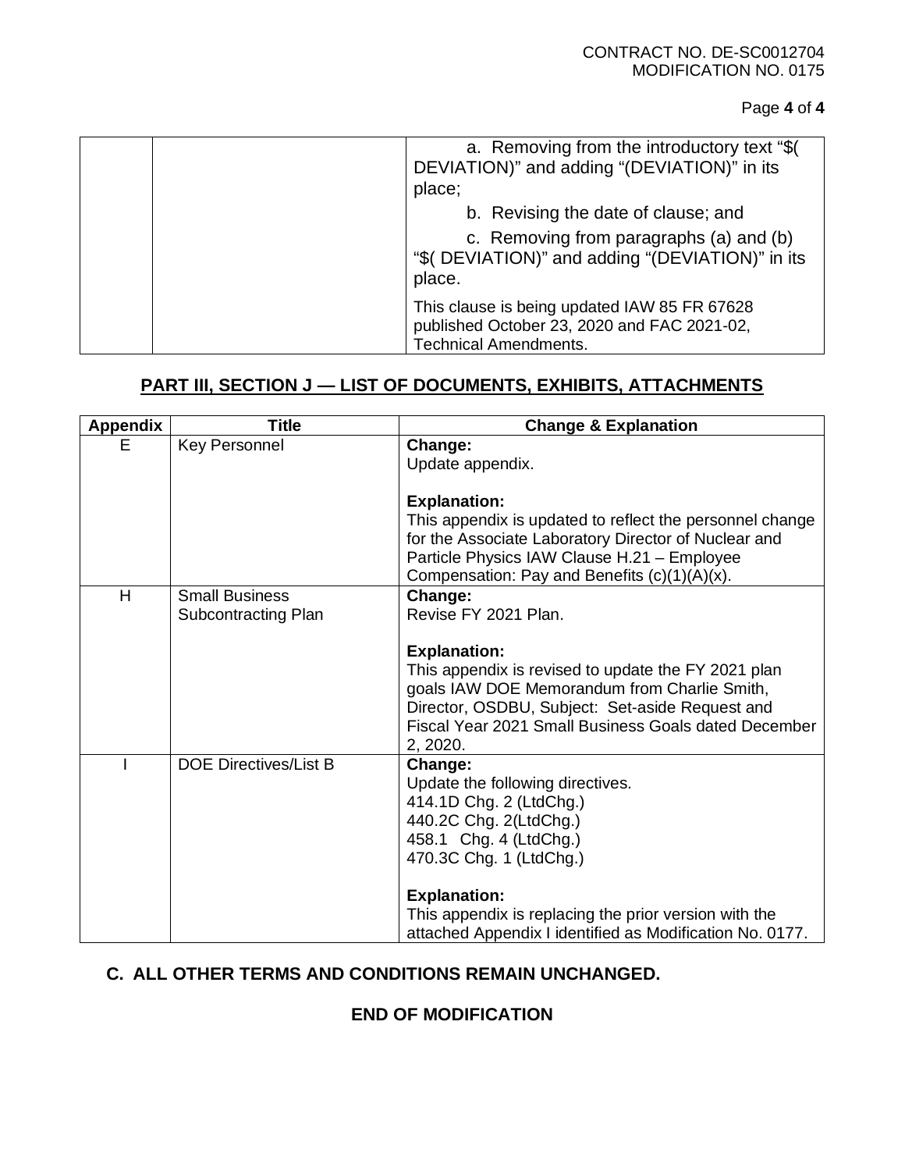### Page **4** of **4**

| a. Removing from the introductory text "\$(<br>DEVIATION)" and adding "(DEVIATION)" in its<br>place;                        |
|-----------------------------------------------------------------------------------------------------------------------------|
| b. Revising the date of clause; and                                                                                         |
| c. Removing from paragraphs (a) and (b)<br>"\$( DEVIATION)" and adding "(DEVIATION)" in its<br>place.                       |
| This clause is being updated IAW 85 FR 67628<br>published October 23, 2020 and FAC 2021-02,<br><b>Technical Amendments.</b> |

# **PART III, SECTION J — LIST OF DOCUMENTS, EXHIBITS, ATTACHMENTS**

| Appendix | <b>Title</b>                 | <b>Change &amp; Explanation</b>                                                                                                                                                                                                                   |
|----------|------------------------------|---------------------------------------------------------------------------------------------------------------------------------------------------------------------------------------------------------------------------------------------------|
| E        | Key Personnel                | Change:<br>Update appendix.                                                                                                                                                                                                                       |
|          |                              | <b>Explanation:</b>                                                                                                                                                                                                                               |
|          |                              | This appendix is updated to reflect the personnel change<br>for the Associate Laboratory Director of Nuclear and<br>Particle Physics IAW Clause H.21 - Employee<br>Compensation: Pay and Benefits $(c)(1)(A)(x)$ .                                |
| H        | <b>Small Business</b>        | Change:                                                                                                                                                                                                                                           |
|          | Subcontracting Plan          | Revise FY 2021 Plan.                                                                                                                                                                                                                              |
|          |                              | <b>Explanation:</b><br>This appendix is revised to update the FY 2021 plan<br>goals IAW DOE Memorandum from Charlie Smith,<br>Director, OSDBU, Subject: Set-aside Request and<br>Fiscal Year 2021 Small Business Goals dated December<br>2, 2020. |
|          | <b>DOE Directives/List B</b> | Change:<br>Update the following directives.<br>414.1D Chg. 2 (LtdChg.)<br>440.2C Chg. 2(LtdChg.)<br>458.1 Chg. 4 (LtdChg.)<br>470.3C Chg. 1 (LtdChg.)<br><b>Explanation:</b>                                                                      |
|          |                              | This appendix is replacing the prior version with the<br>attached Appendix I identified as Modification No. 0177.                                                                                                                                 |

# **C. ALL OTHER TERMS AND CONDITIONS REMAIN UNCHANGED.**

### **END OF MODIFICATION**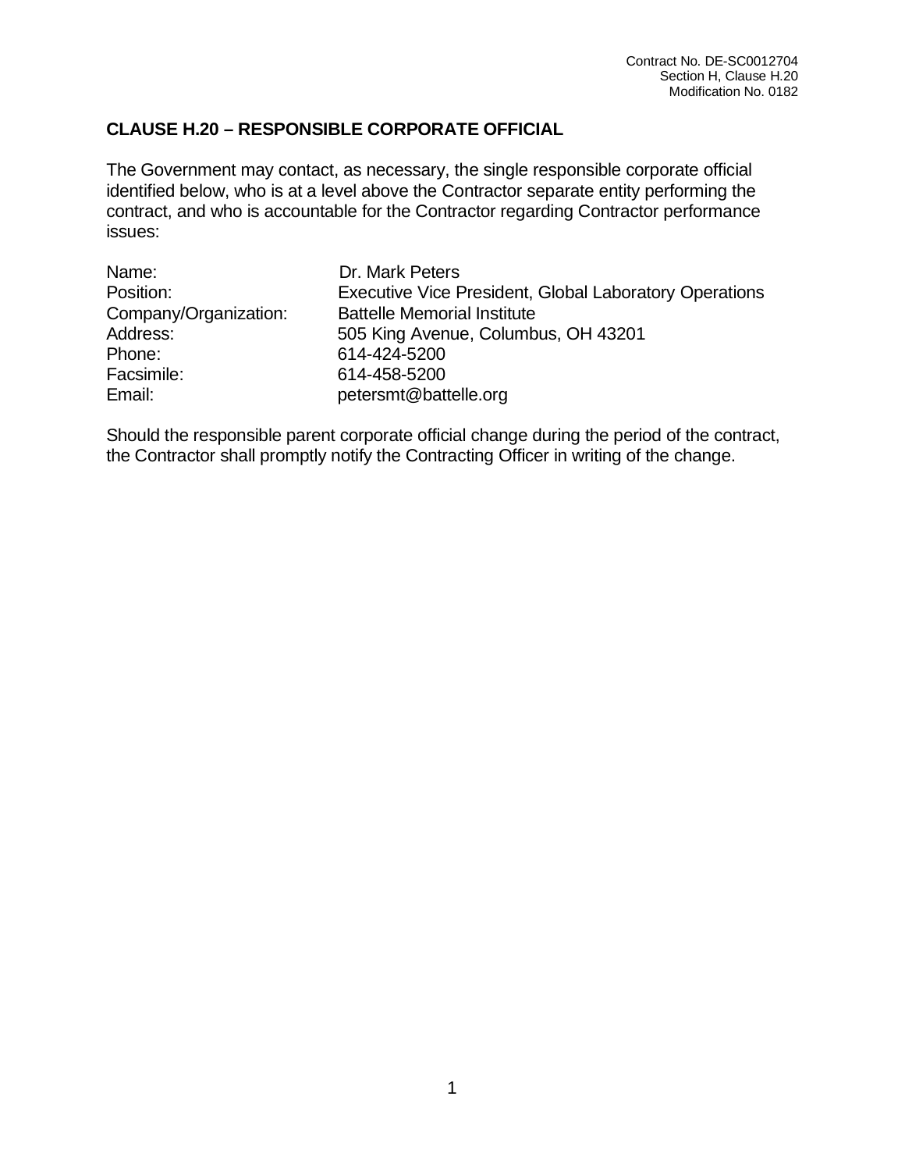## **CLAUSE H.20 – RESPONSIBLE CORPORATE OFFICIAL**

The Government may contact, as necessary, the single responsible corporate official identified below, who is at a level above the Contractor separate entity performing the contract, and who is accountable for the Contractor regarding Contractor performance issues:

| Name:                 | Dr. Mark Peters                                               |
|-----------------------|---------------------------------------------------------------|
| Position:             | <b>Executive Vice President, Global Laboratory Operations</b> |
| Company/Organization: | <b>Battelle Memorial Institute</b>                            |
| Address:              | 505 King Avenue, Columbus, OH 43201                           |
| Phone:                | 614-424-5200                                                  |
| Facsimile:            | 614-458-5200                                                  |
| Email:                | petersmt@battelle.org                                         |

Should the responsible parent corporate official change during the period of the contract, the Contractor shall promptly notify the Contracting Officer in writing of the change.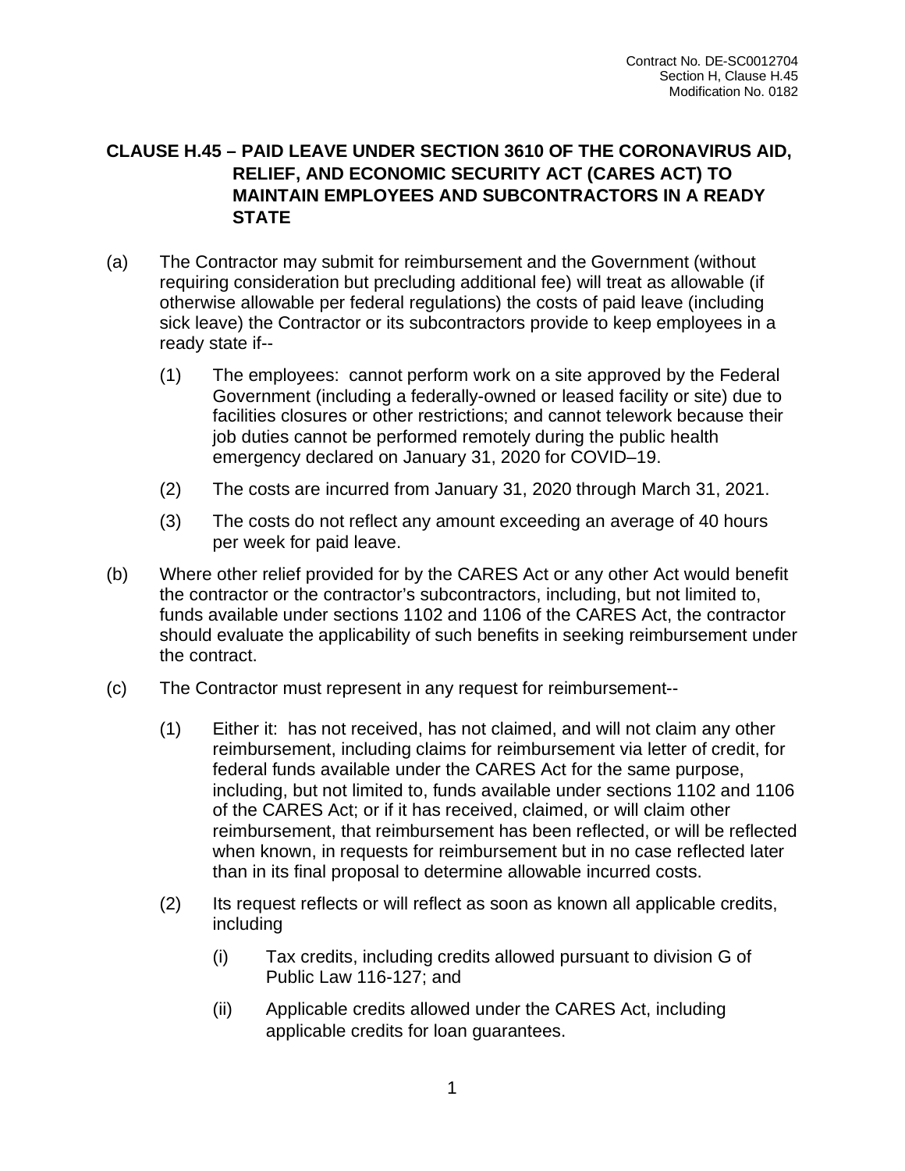# **CLAUSE H.45 – PAID LEAVE UNDER SECTION 3610 OF THE CORONAVIRUS AID, RELIEF, AND ECONOMIC SECURITY ACT (CARES ACT) TO MAINTAIN EMPLOYEES AND SUBCONTRACTORS IN A READY STATE**

- (a) The Contractor may submit for reimbursement and the Government (without requiring consideration but precluding additional fee) will treat as allowable (if otherwise allowable per federal regulations) the costs of paid leave (including sick leave) the Contractor or its subcontractors provide to keep employees in a ready state if--
	- (1) The employees: cannot perform work on a site approved by the Federal Government (including a federally-owned or leased facility or site) due to facilities closures or other restrictions; and cannot telework because their job duties cannot be performed remotely during the public health emergency declared on January 31, 2020 for COVID–19.
	- (2) The costs are incurred from January 31, 2020 through March 31, 2021.
	- (3) The costs do not reflect any amount exceeding an average of 40 hours per week for paid leave.
- (b) Where other relief provided for by the CARES Act or any other Act would benefit the contractor or the contractor's subcontractors, including, but not limited to, funds available under sections 1102 and 1106 of the CARES Act, the contractor should evaluate the applicability of such benefits in seeking reimbursement under the contract.
- (c) The Contractor must represent in any request for reimbursement--
	- (1) Either it: has not received, has not claimed, and will not claim any other reimbursement, including claims for reimbursement via letter of credit, for federal funds available under the CARES Act for the same purpose, including, but not limited to, funds available under sections 1102 and 1106 of the CARES Act; or if it has received, claimed, or will claim other reimbursement, that reimbursement has been reflected, or will be reflected when known, in requests for reimbursement but in no case reflected later than in its final proposal to determine allowable incurred costs.
	- (2) Its request reflects or will reflect as soon as known all applicable credits, including
		- (i) Tax credits, including credits allowed pursuant to division G of Public Law 116-127; and
		- (ii) Applicable credits allowed under the CARES Act, including applicable credits for loan guarantees.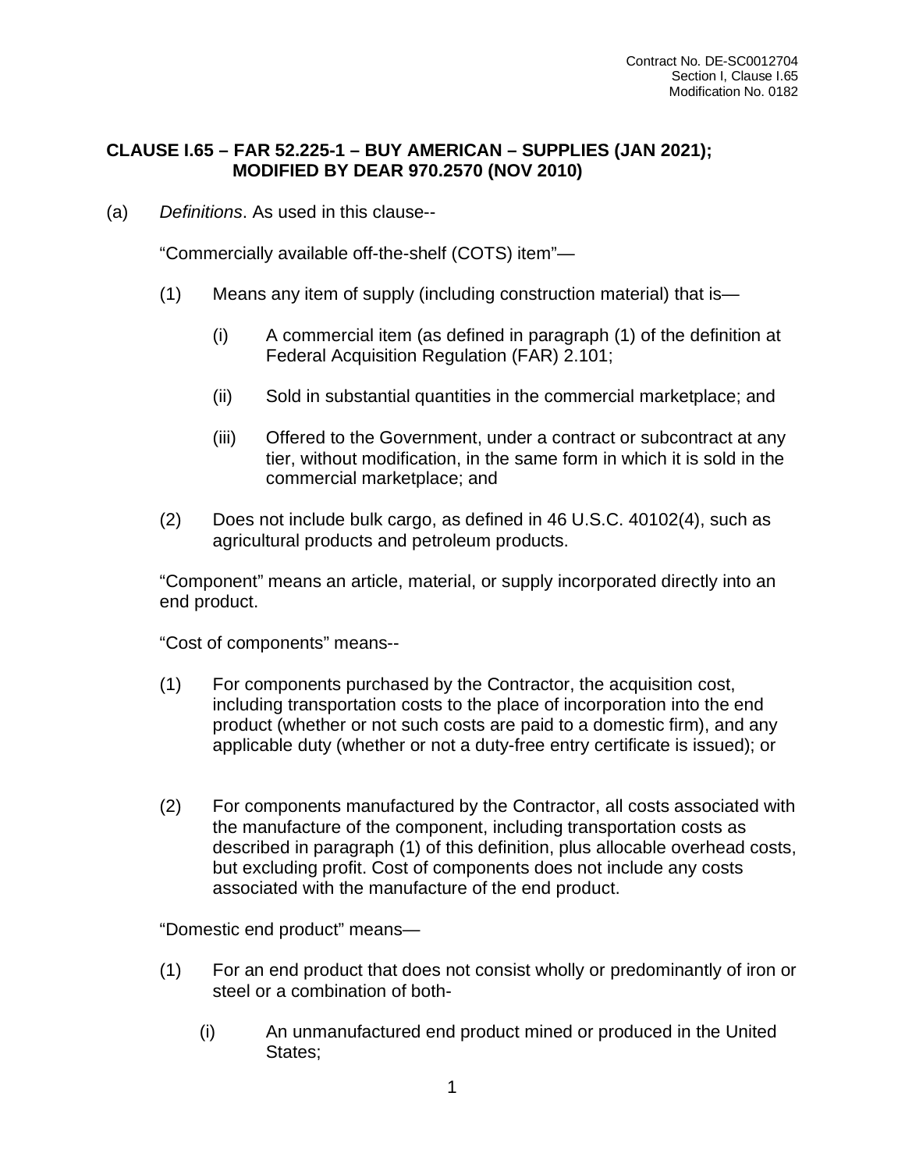## **CLAUSE I.65 – FAR 52.225-1 – BUY AMERICAN – SUPPLIES (JAN 2021); MODIFIED BY DEAR 970.2570 (NOV 2010)**

(a) *Definitions*. As used in this clause--

"Commercially available off-the-shelf (COTS) item"—

- (1) Means any item of supply (including construction material) that is—
	- (i) A commercial item (as defined in paragraph (1) of the definition at Federal Acquisition Regulation (FAR) 2.101;
	- (ii) Sold in substantial quantities in the commercial marketplace; and
	- (iii) Offered to the Government, under a contract or subcontract at any tier, without modification, in the same form in which it is sold in the commercial marketplace; and
- (2) Does not include bulk cargo, as defined in 46 U.S.C. 40102(4), such as agricultural products and petroleum products.

"Component" means an article, material, or supply incorporated directly into an end product.

"Cost of components" means--

- (1) For components purchased by the Contractor, the acquisition cost, including transportation costs to the place of incorporation into the end product (whether or not such costs are paid to a domestic firm), and any applicable duty (whether or not a duty-free entry certificate is issued); or
- (2) For components manufactured by the Contractor, all costs associated with the manufacture of the component, including transportation costs as described in paragraph (1) of this definition, plus allocable overhead costs, but excluding profit. Cost of components does not include any costs associated with the manufacture of the end product.

"Domestic end product" means—

- (1) For an end product that does not consist wholly or predominantly of iron or steel or a combination of both-
	- (i) An unmanufactured end product mined or produced in the United States;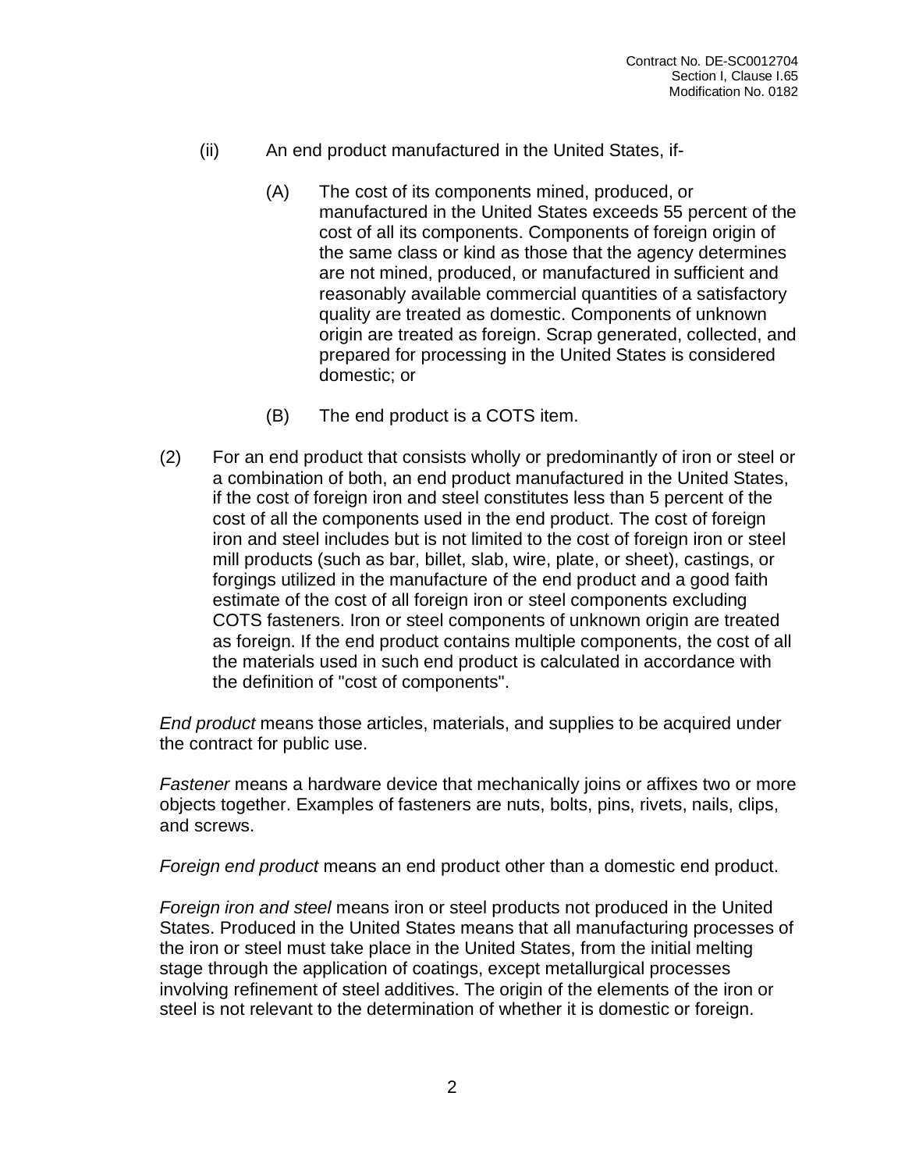- (ii) An end product manufactured in the United States, if-
	- (A) The cost of its components mined, produced, or manufactured in the United States exceeds 55 percent of the cost of all its components. Components of foreign origin of the same class or kind as those that the agency determines are not mined, produced, or manufactured in sufficient and reasonably available commercial quantities of a satisfactory quality are treated as domestic. Components of unknown origin are treated as foreign. Scrap generated, collected, and prepared for processing in the United States is considered domestic; or
	- (B) The end product is a COTS item.
- (2) For an end product that consists wholly or predominantly of iron or steel or a combination of both, an end product manufactured in the United States, if the cost of foreign iron and steel constitutes less than 5 percent of the cost of all the components used in the end product. The cost of foreign iron and steel includes but is not limited to the cost of foreign iron or steel mill products (such as bar, billet, slab, wire, plate, or sheet), castings, or forgings utilized in the manufacture of the end product and a good faith estimate of the cost of all foreign iron or steel components excluding COTS fasteners. Iron or steel components of unknown origin are treated as foreign. If the end product contains multiple components, the cost of all the materials used in such end product is calculated in accordance with the definition of "cost of components".

*End product* means those articles, materials, and supplies to be acquired under the contract for public use.

*Fastener* means a hardware device that mechanically joins or affixes two or more objects together. Examples of fasteners are nuts, bolts, pins, rivets, nails, clips, and screws.

*Foreign end product* means an end product other than a domestic end product.

*Foreign iron and steel* means iron or steel products not produced in the United States. Produced in the United States means that all manufacturing processes of the iron or steel must take place in the United States, from the initial melting stage through the application of coatings, except metallurgical processes involving refinement of steel additives. The origin of the elements of the iron or steel is not relevant to the determination of whether it is domestic or foreign.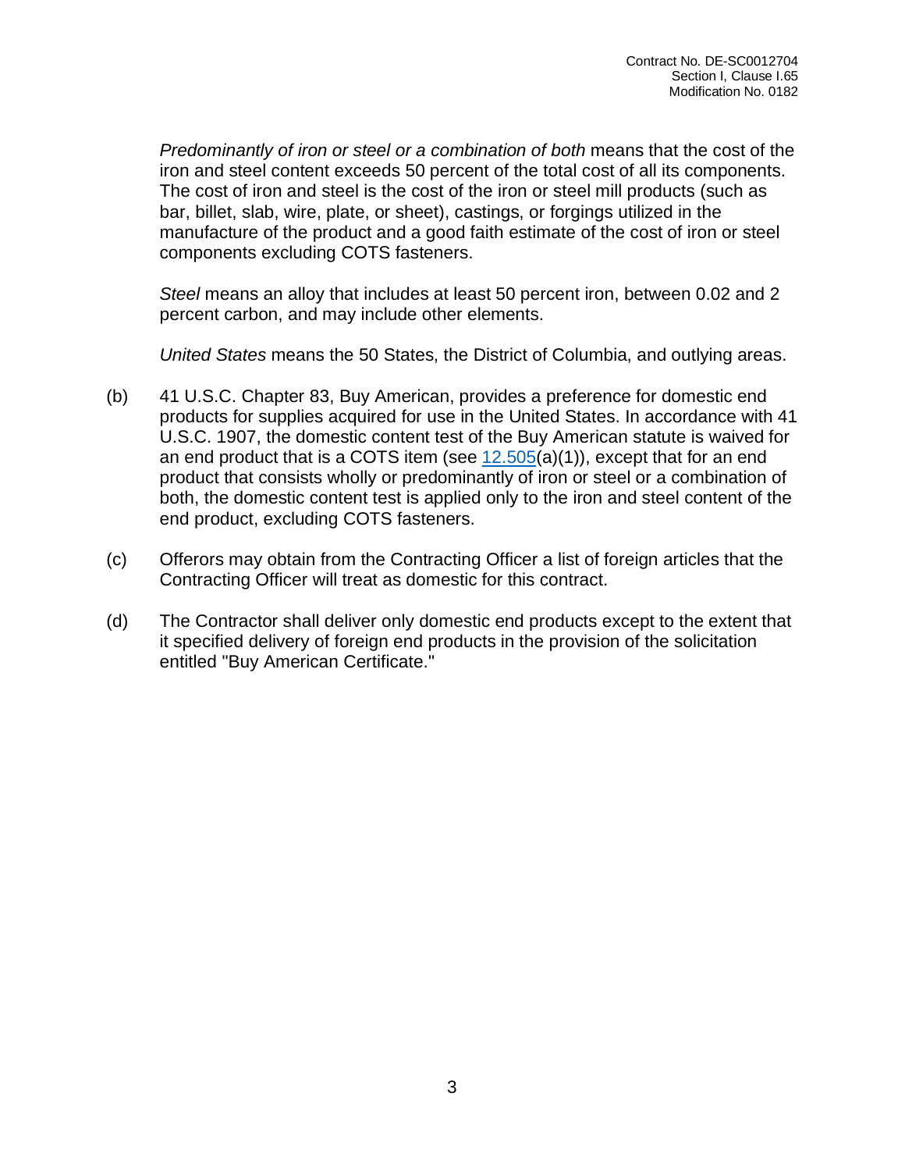*Predominantly of iron or steel or a combination of both* means that the cost of the iron and steel content exceeds 50 percent of the total cost of all its components. The cost of iron and steel is the cost of the iron or steel mill products (such as bar, billet, slab, wire, plate, or sheet), castings, or forgings utilized in the manufacture of the product and a good faith estimate of the cost of iron or steel components excluding COTS fasteners.

*Steel* means an alloy that includes at least 50 percent iron, between 0.02 and 2 percent carbon, and may include other elements.

*United States* means the 50 States, the District of Columbia, and outlying areas.

- (b) 41 U.S.C. Chapter 83, Buy American, provides a preference for domestic end products for supplies acquired for use in the United States. In accordance with 41 U.S.C. 1907, the domestic content test of the Buy American statute is waived for an end product that is a COTS item (see  $12.505(a)(1)$  $12.505(a)(1)$ ), except that for an end product that consists wholly or predominantly of iron or steel or a combination of both, the domestic content test is applied only to the iron and steel content of the end product, excluding COTS fasteners.
- (c) Offerors may obtain from the Contracting Officer a list of foreign articles that the Contracting Officer will treat as domestic for this contract.
- (d) The Contractor shall deliver only domestic end products except to the extent that it specified delivery of foreign end products in the provision of the solicitation entitled "Buy American Certificate."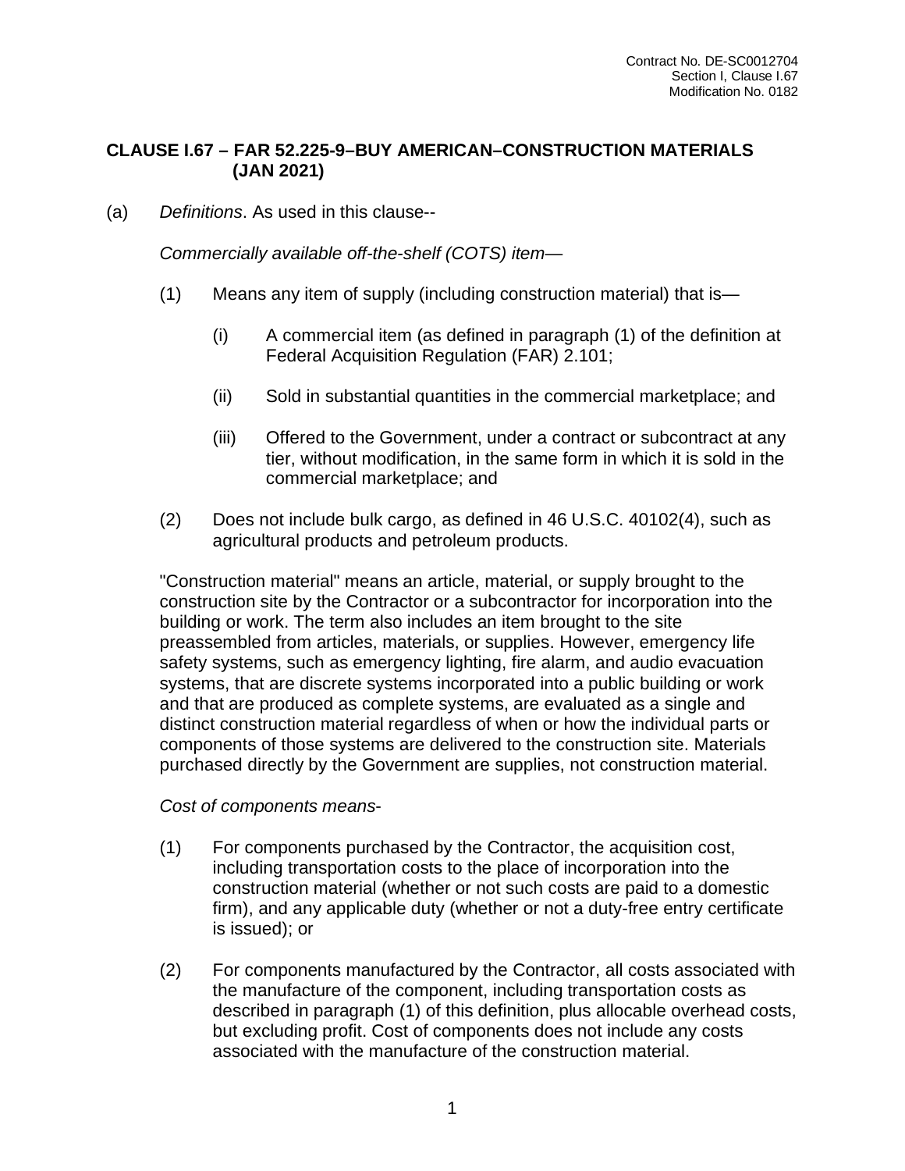## **CLAUSE I.67 – FAR 52.225-9–BUY AMERICAN–CONSTRUCTION MATERIALS (JAN 2021)**

(a) *Definitions*. As used in this clause--

*Commercially available off-the-shelf (COTS) item*—

- (1) Means any item of supply (including construction material) that is—
	- (i) A commercial item (as defined in paragraph (1) of the definition at Federal Acquisition Regulation (FAR) 2.101;
	- (ii) Sold in substantial quantities in the commercial marketplace; and
	- (iii) Offered to the Government, under a contract or subcontract at any tier, without modification, in the same form in which it is sold in the commercial marketplace; and
- (2) Does not include bulk cargo, as defined in 46 U.S.C. 40102(4), such as agricultural products and petroleum products.

"Construction material" means an article, material, or supply brought to the construction site by the Contractor or a subcontractor for incorporation into the building or work. The term also includes an item brought to the site preassembled from articles, materials, or supplies. However, emergency life safety systems, such as emergency lighting, fire alarm, and audio evacuation systems, that are discrete systems incorporated into a public building or work and that are produced as complete systems, are evaluated as a single and distinct construction material regardless of when or how the individual parts or components of those systems are delivered to the construction site. Materials purchased directly by the Government are supplies, not construction material.

### *Cost of components means*-

- (1) For components purchased by the Contractor, the acquisition cost, including transportation costs to the place of incorporation into the construction material (whether or not such costs are paid to a domestic firm), and any applicable duty (whether or not a duty-free entry certificate is issued); or
- (2) For components manufactured by the Contractor, all costs associated with the manufacture of the component, including transportation costs as described in paragraph (1) of this definition, plus allocable overhead costs, but excluding profit. Cost of components does not include any costs associated with the manufacture of the construction material.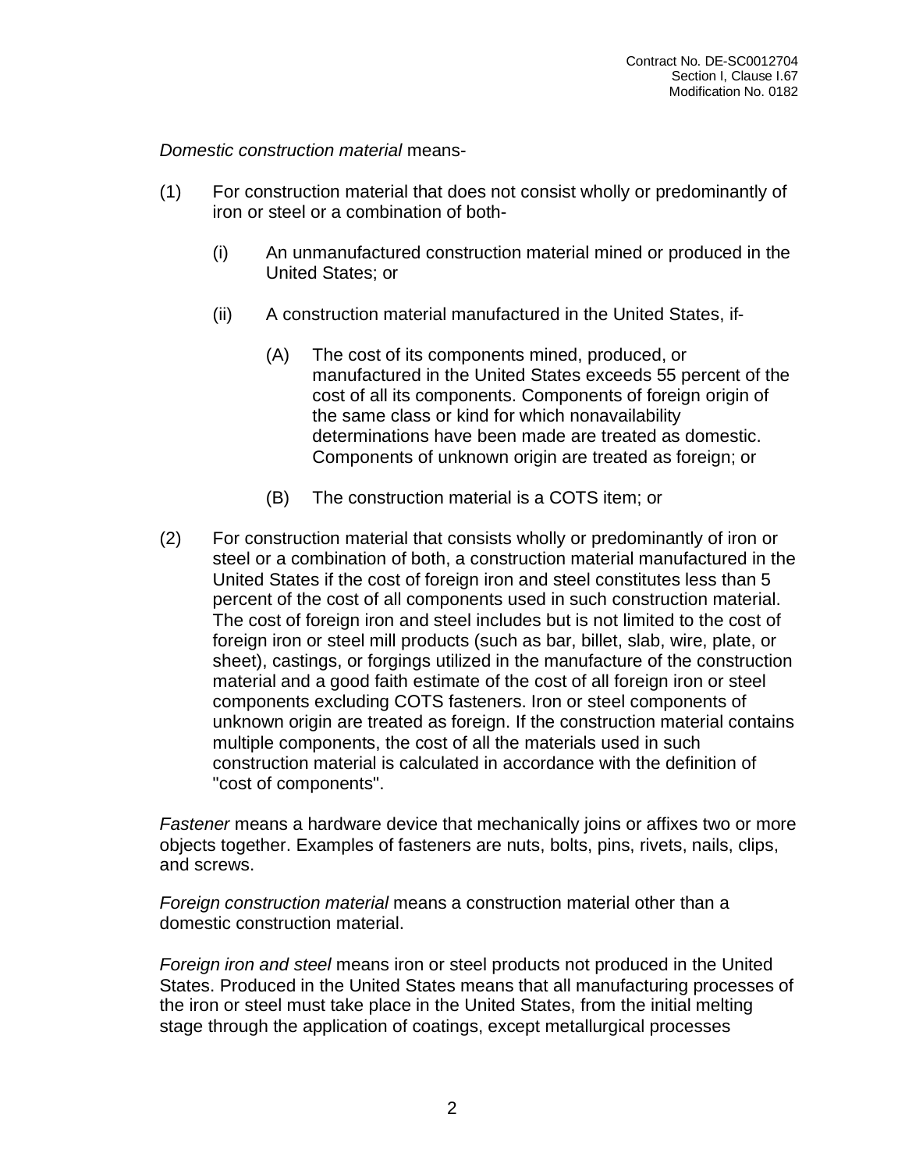*Domestic construction material* means-

- (1) For construction material that does not consist wholly or predominantly of iron or steel or a combination of both-
	- (i) An unmanufactured construction material mined or produced in the United States; or
	- (ii) A construction material manufactured in the United States, if-
		- (A) The cost of its components mined, produced, or manufactured in the United States exceeds 55 percent of the cost of all its components. Components of foreign origin of the same class or kind for which nonavailability determinations have been made are treated as domestic. Components of unknown origin are treated as foreign; or
		- (B) The construction material is a COTS item; or
- (2) For construction material that consists wholly or predominantly of iron or steel or a combination of both, a construction material manufactured in the United States if the cost of foreign iron and steel constitutes less than 5 percent of the cost of all components used in such construction material. The cost of foreign iron and steel includes but is not limited to the cost of foreign iron or steel mill products (such as bar, billet, slab, wire, plate, or sheet), castings, or forgings utilized in the manufacture of the construction material and a good faith estimate of the cost of all foreign iron or steel components excluding COTS fasteners. Iron or steel components of unknown origin are treated as foreign. If the construction material contains multiple components, the cost of all the materials used in such construction material is calculated in accordance with the definition of "cost of components".

*Fastener* means a hardware device that mechanically joins or affixes two or more objects together. Examples of fasteners are nuts, bolts, pins, rivets, nails, clips, and screws.

*Foreign construction material* means a construction material other than a domestic construction material.

*Foreign iron and steel* means iron or steel products not produced in the United States. Produced in the United States means that all manufacturing processes of the iron or steel must take place in the United States, from the initial melting stage through the application of coatings, except metallurgical processes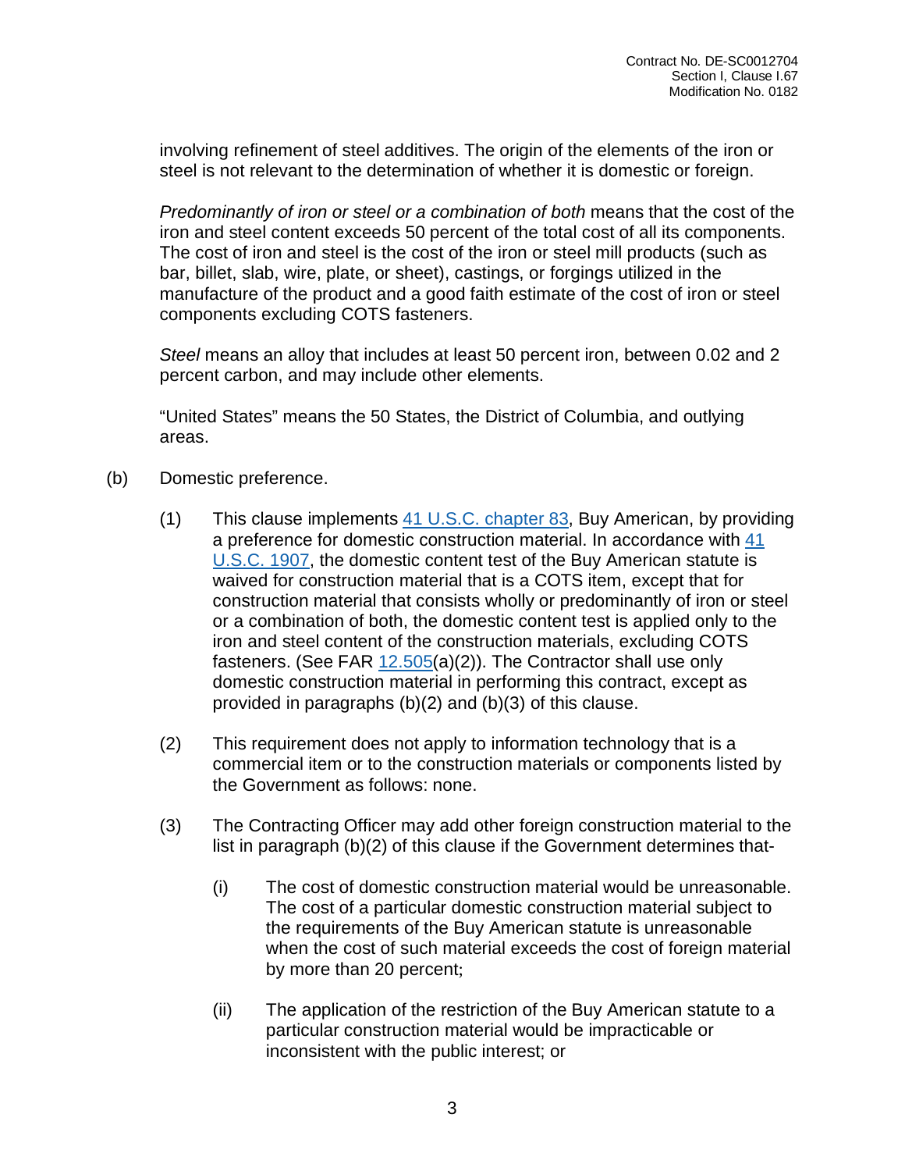involving refinement of steel additives. The origin of the elements of the iron or steel is not relevant to the determination of whether it is domestic or foreign.

*Predominantly of iron or steel or a combination of both* means that the cost of the iron and steel content exceeds 50 percent of the total cost of all its components. The cost of iron and steel is the cost of the iron or steel mill products (such as bar, billet, slab, wire, plate, or sheet), castings, or forgings utilized in the manufacture of the product and a good faith estimate of the cost of iron or steel components excluding COTS fasteners.

*Steel* means an alloy that includes at least 50 percent iron, between 0.02 and 2 percent carbon, and may include other elements.

"United States" means the 50 States, the District of Columbia, and outlying areas.

- (b) Domestic preference.
	- (1) This clause implements  $41$  U.S.C. [chapter](http://uscode.house.gov/browse.xhtml;jsessionid=114A3287C7B3359E597506A31FC855B3) [83,](http://uscode.house.gov/browse.xhtml;jsessionid=114A3287C7B3359E597506A31FC855B3) Buy American, by providing a preference for domestic construction material. In accordance with [41](http://uscode.house.gov/browse.xhtml;jsessionid=114A3287C7B3359E597506A31FC855B3) [U.S.C.](http://uscode.house.gov/browse.xhtml;jsessionid=114A3287C7B3359E597506A31FC855B3) 1907, the domestic content test of the Buy American statute is waived for construction material that is a COTS item, except that for construction material that consists wholly or predominantly of iron or steel or a combination of both, the domestic content test is applied only to the iron and steel content of the construction materials, excluding COTS fasteners. (See FAR [12.505\(](https://www.acquisition.gov/far/12.505#FAR_12_505)a)(2)). The Contractor shall use only domestic construction material in performing this contract, except as provided in paragraphs (b)(2) and (b)(3) of this clause.
	- (2) This requirement does not apply to information technology that is a commercial item or to the construction materials or components listed by the Government as follows: none.
	- (3) The Contracting Officer may add other foreign construction material to the list in paragraph (b)(2) of this clause if the Government determines that-
		- (i) The cost of domestic construction material would be unreasonable. The cost of a particular domestic construction material subject to the requirements of the Buy American statute is unreasonable when the cost of such material exceeds the cost of foreign material by more than 20 percent;
		- (ii) The application of the restriction of the Buy American statute to a particular construction material would be impracticable or inconsistent with the public interest; or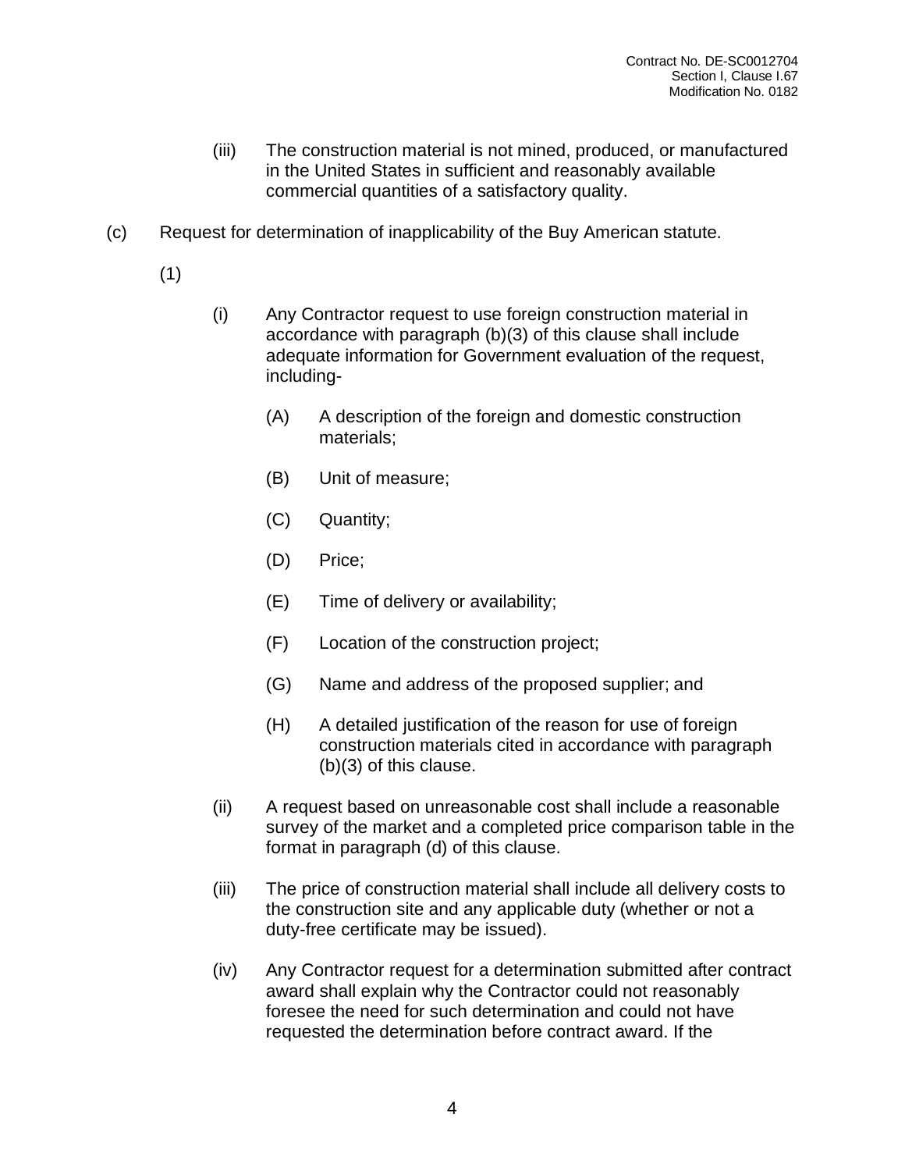- (iii) The construction material is not mined, produced, or manufactured in the United States in sufficient and reasonably available commercial quantities of a satisfactory quality.
- (c) Request for determination of inapplicability of the Buy American statute.
	- (1)
- (i) Any Contractor request to use foreign construction material in accordance with paragraph (b)(3) of this clause shall include adequate information for Government evaluation of the request, including-
	- (A) A description of the foreign and domestic construction materials;
	- (B) Unit of measure;
	- (C) Quantity;
	- (D) Price;
	- (E) Time of delivery or availability;
	- (F) Location of the construction project;
	- (G) Name and address of the proposed supplier; and
	- (H) A detailed justification of the reason for use of foreign construction materials cited in accordance with paragraph (b)(3) of this clause.
- (ii) A request based on unreasonable cost shall include a reasonable survey of the market and a completed price comparison table in the format in paragraph (d) of this clause.
- (iii) The price of construction material shall include all delivery costs to the construction site and any applicable duty (whether or not a duty-free certificate may be issued).
- (iv) Any Contractor request for a determination submitted after contract award shall explain why the Contractor could not reasonably foresee the need for such determination and could not have requested the determination before contract award. If the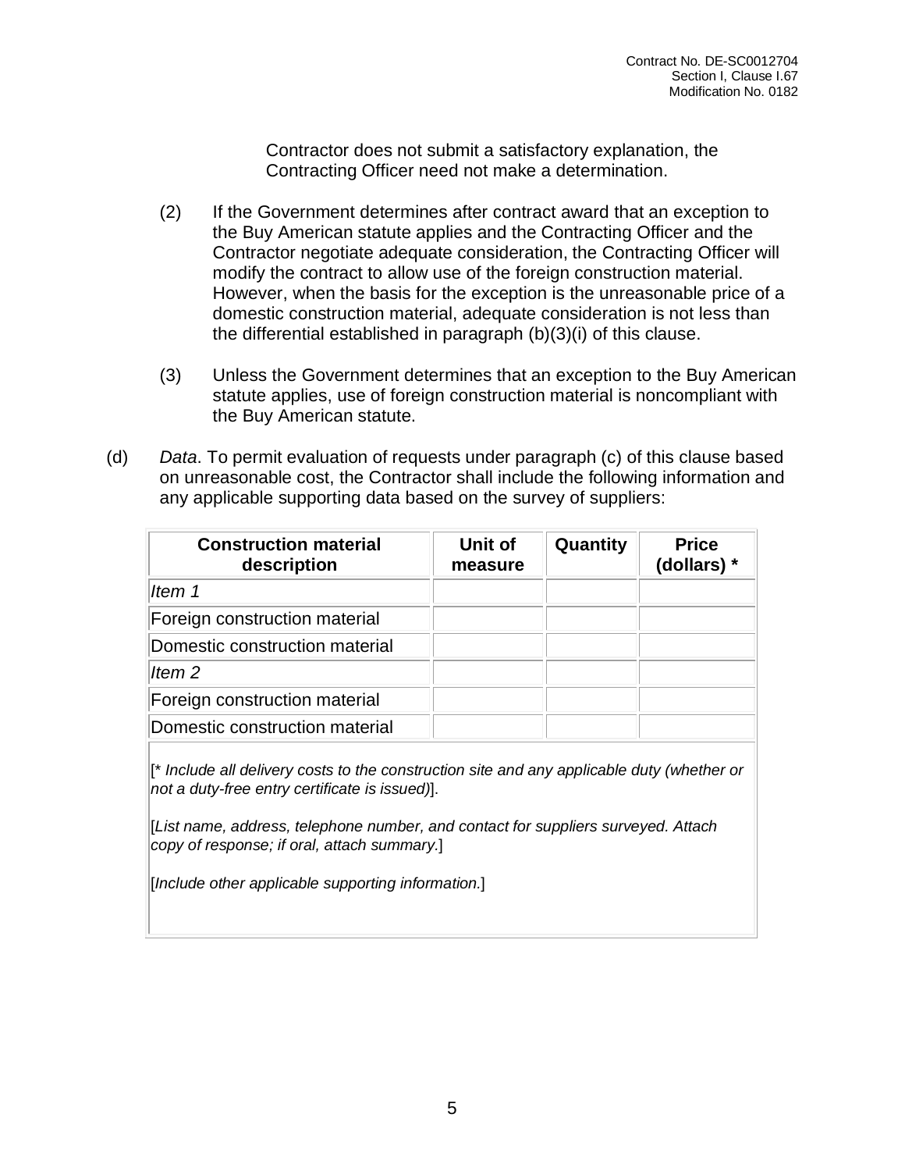Contractor does not submit a satisfactory explanation, the Contracting Officer need not make a determination.

- (2) If the Government determines after contract award that an exception to the Buy American statute applies and the Contracting Officer and the Contractor negotiate adequate consideration, the Contracting Officer will modify the contract to allow use of the foreign construction material. However, when the basis for the exception is the unreasonable price of a domestic construction material, adequate consideration is not less than the differential established in paragraph (b)(3)(i) of this clause.
- (3) Unless the Government determines that an exception to the Buy American statute applies, use of foreign construction material is noncompliant with the Buy American statute.
- (d) *Data*. To permit evaluation of requests under paragraph (c) of this clause based on unreasonable cost, the Contractor shall include the following information and any applicable supporting data based on the survey of suppliers:

| <b>Construction material</b><br>description | Unit of<br>measure | Quantity | <b>Price</b><br>(dollars) * |
|---------------------------------------------|--------------------|----------|-----------------------------|
| ltem 1                                      |                    |          |                             |
| Foreign construction material               |                    |          |                             |
| Domestic construction material              |                    |          |                             |
| Item <sub>2</sub>                           |                    |          |                             |
| Foreign construction material               |                    |          |                             |
| Domestic construction material              |                    |          |                             |

[\* *Include all delivery costs to the construction site and any applicable duty (whether or not a duty-free entry certificate is issued)*].

[*List name, address, telephone number, and contact for suppliers surveyed. Attach copy of response; if oral, attach summary.*]

[*Include other applicable supporting information.*]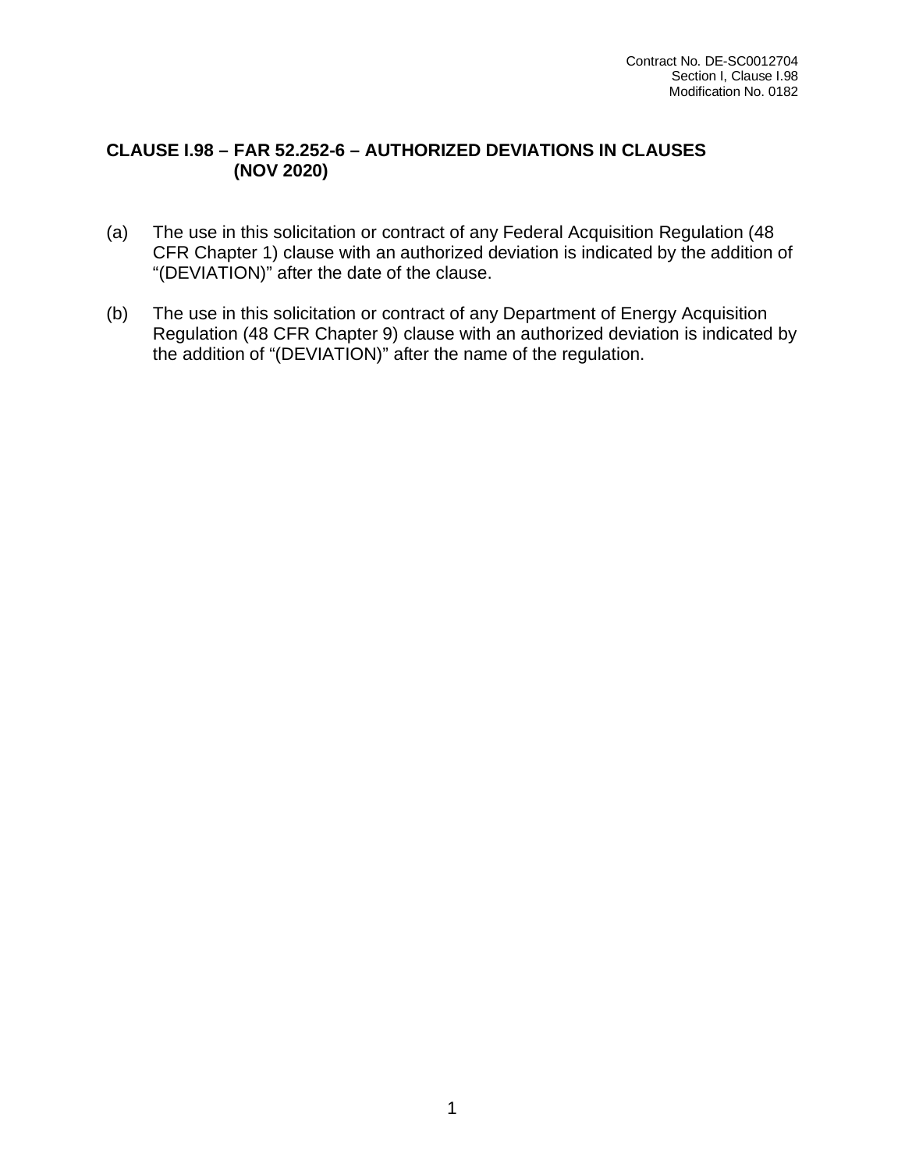## **CLAUSE I.98 – FAR 52.252-6 – AUTHORIZED DEVIATIONS IN CLAUSES (NOV 2020)**

- (a) The use in this solicitation or contract of any Federal Acquisition Regulation (48 CFR Chapter 1) clause with an authorized deviation is indicated by the addition of "(DEVIATION)" after the date of the clause.
- (b) The use in this solicitation or contract of any Department of Energy Acquisition Regulation (48 CFR Chapter 9) clause with an authorized deviation is indicated by the addition of "(DEVIATION)" after the name of the regulation.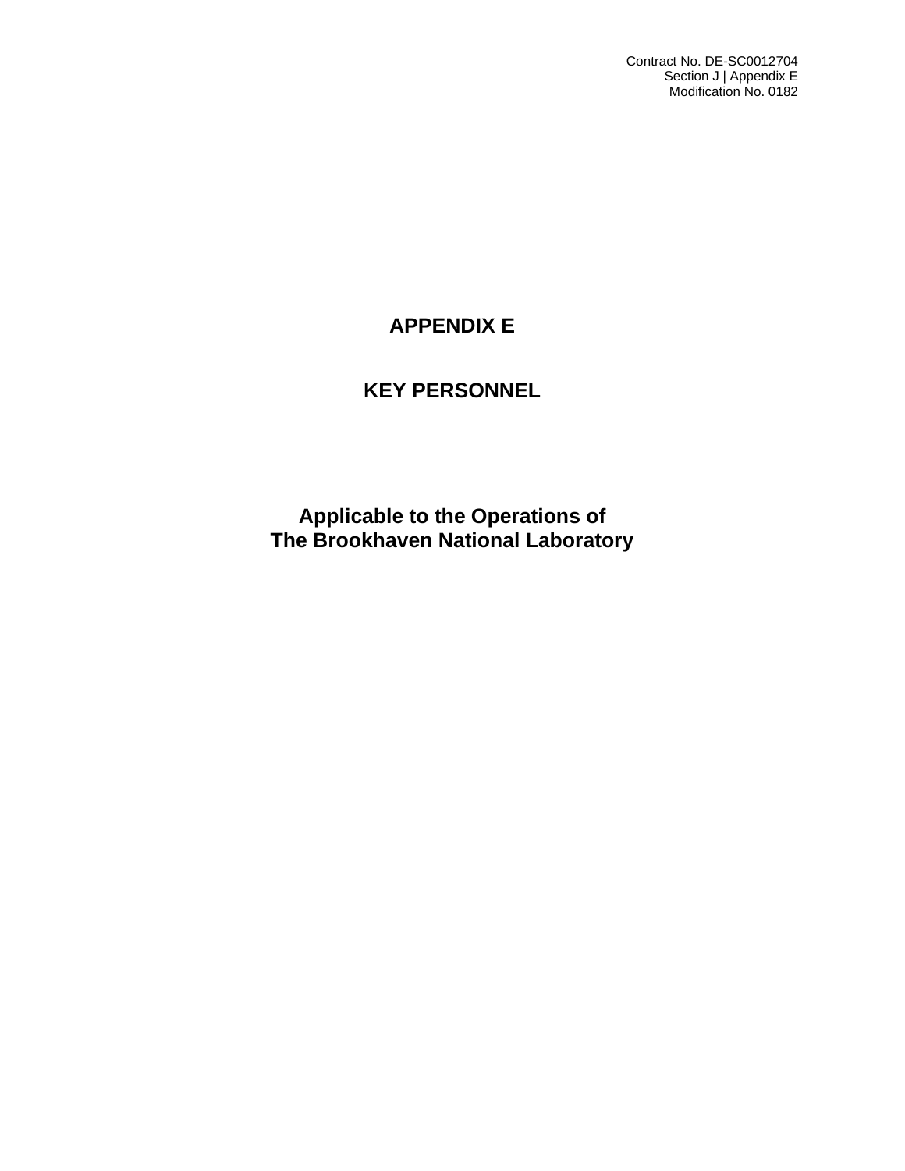Contract No. DE-SC0012704 Section J | Appendix E Modification No. 0182

# **APPENDIX E**

# **KEY PERSONNEL**

**Applicable to the Operations of The Brookhaven National Laboratory**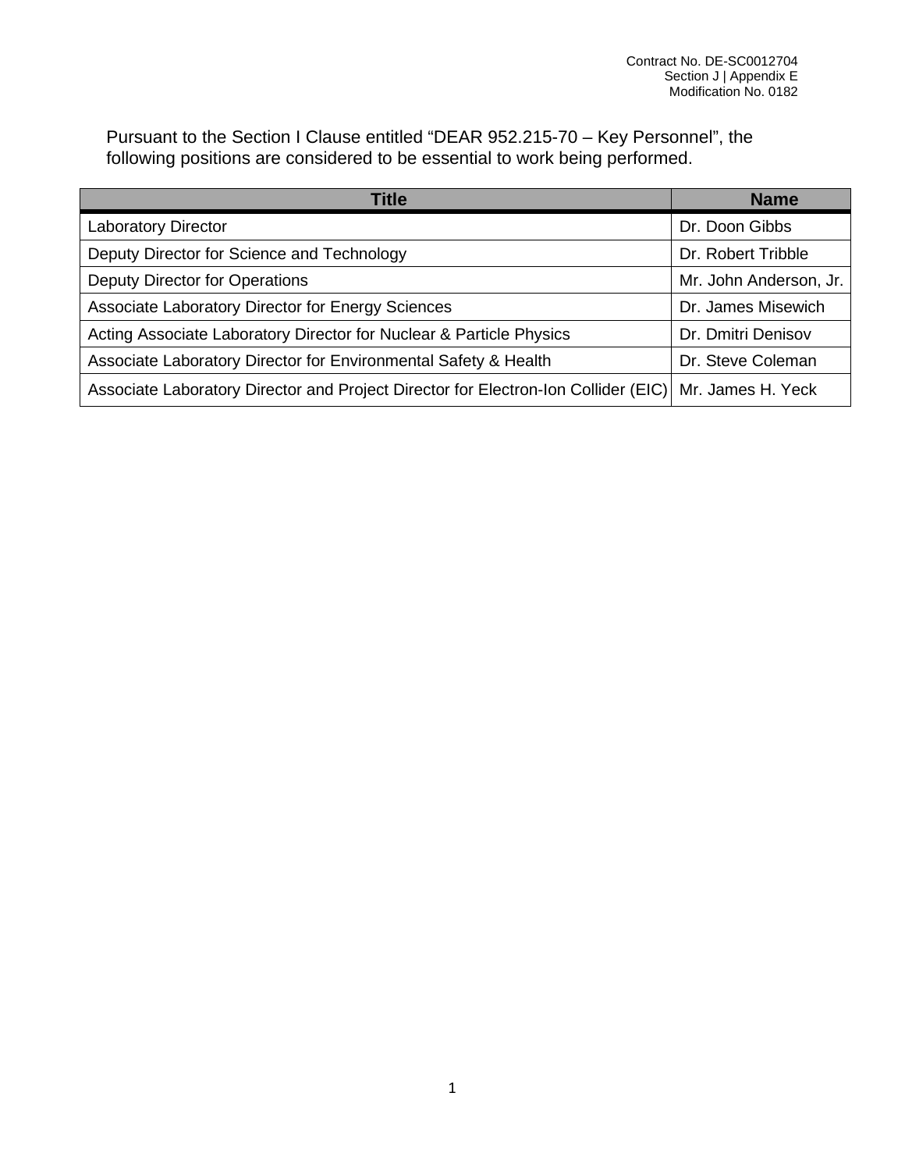Pursuant to the Section I Clause entitled "DEAR 952.215-70 – Key Personnel", the following positions are considered to be essential to work being performed.

| Title                                                                                                  | <b>Name</b>            |
|--------------------------------------------------------------------------------------------------------|------------------------|
| <b>Laboratory Director</b>                                                                             | Dr. Doon Gibbs         |
| Deputy Director for Science and Technology                                                             | Dr. Robert Tribble     |
| Deputy Director for Operations                                                                         | Mr. John Anderson, Jr. |
| Associate Laboratory Director for Energy Sciences                                                      | Dr. James Misewich     |
| Acting Associate Laboratory Director for Nuclear & Particle Physics                                    | Dr. Dmitri Denisov     |
| Associate Laboratory Director for Environmental Safety & Health                                        | Dr. Steve Coleman      |
| Associate Laboratory Director and Project Director for Electron-Ion Collider (EIC)   Mr. James H. Yeck |                        |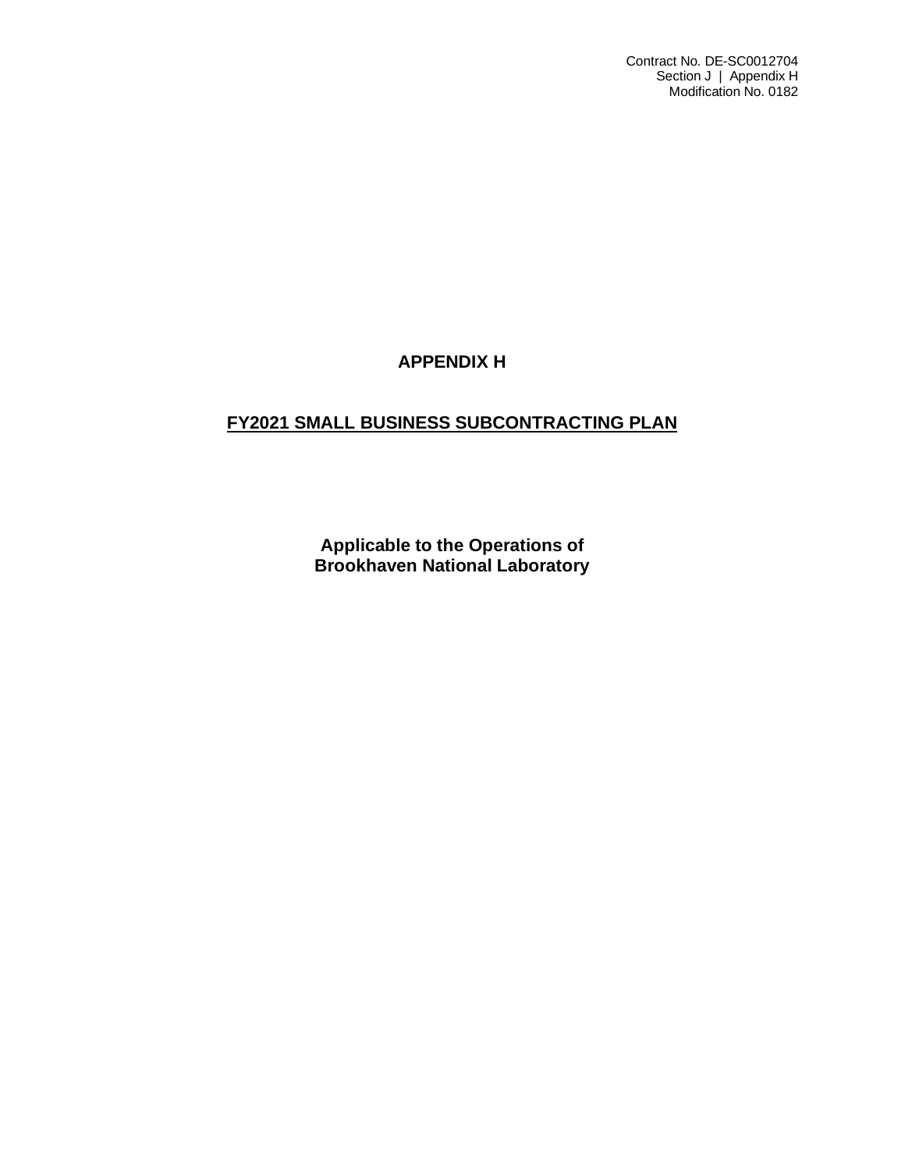Contract No. DE-SC0012704 Section J | Appendix H Modification No. 0182

# **APPENDIX H**

# **FY2021 SMALL BUSINESS SUBCONTRACTING PLAN**

**Applicable to the Operations of Brookhaven National Laboratory**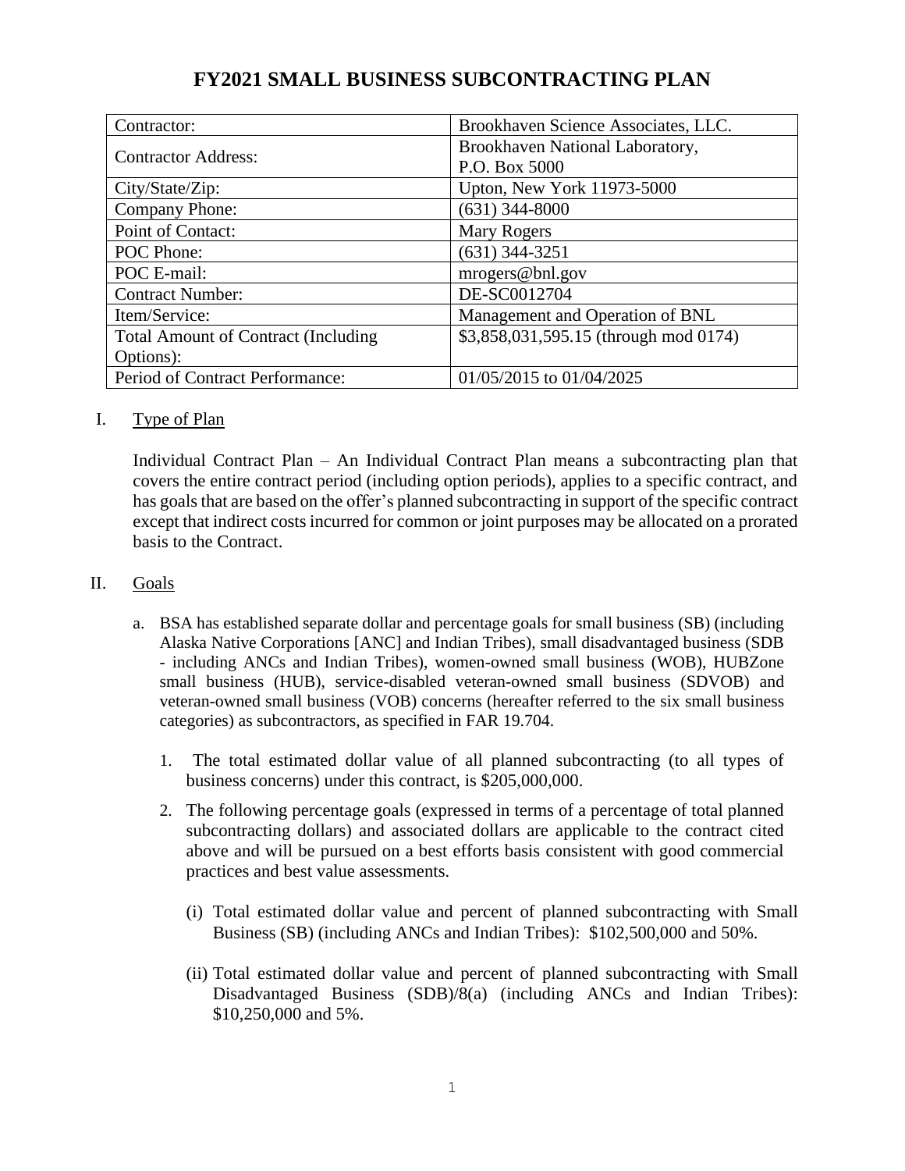| Contractor:                                | Brookhaven Science Associates, LLC.   |  |
|--------------------------------------------|---------------------------------------|--|
| <b>Contractor Address:</b>                 | Brookhaven National Laboratory,       |  |
|                                            | P.O. Box 5000                         |  |
| City/State/Zip:                            | Upton, New York 11973-5000            |  |
| Company Phone:                             | $(631)$ 344-8000                      |  |
| Point of Contact:                          | <b>Mary Rogers</b>                    |  |
| POC Phone:                                 | $(631)$ 344-3251                      |  |
| POC E-mail:                                | mrogers@bnl.gov                       |  |
| <b>Contract Number:</b>                    | DE-SC0012704                          |  |
| Item/Service:                              | Management and Operation of BNL       |  |
| <b>Total Amount of Contract (Including</b> | \$3,858,031,595.15 (through mod 0174) |  |
| Options:                                   |                                       |  |
| Period of Contract Performance:            | 01/05/2015 to 01/04/2025              |  |

# **FY2021 SMALL BUSINESS SUBCONTRACTING PLAN**

### I. Type of Plan

Individual Contract Plan – An Individual Contract Plan means a subcontracting plan that covers the entire contract period (including option periods), applies to a specific contract, and has goals that are based on the offer's planned subcontracting in support of the specific contract except that indirect costs incurred for common or joint purposes may be allocated on a prorated basis to the Contract.

### II. Goals

- a. BSA has established separate dollar and percentage goals for small business (SB) (including Alaska Native Corporations [ANC] and Indian Tribes), small disadvantaged business (SDB - including ANCs and Indian Tribes), women-owned small business (WOB), HUBZone small business (HUB), service-disabled veteran-owned small business (SDVOB) and veteran-owned small business (VOB) concerns (hereafter referred to the six small business categories) as subcontractors, as specified in FAR 19.704.
	- 1. The total estimated dollar value of all planned subcontracting (to all types of business concerns) under this contract, is \$205,000,000.
	- 2. The following percentage goals (expressed in terms of a percentage of total planned subcontracting dollars) and associated dollars are applicable to the contract cited above and will be pursued on a best efforts basis consistent with good commercial practices and best value assessments.
		- (i) Total estimated dollar value and percent of planned subcontracting with Small Business (SB) (including ANCs and Indian Tribes): \$102,500,000 and 50%.
		- (ii) Total estimated dollar value and percent of planned subcontracting with Small Disadvantaged Business (SDB)/8(a) (including ANCs and Indian Tribes): \$10,250,000 and 5%.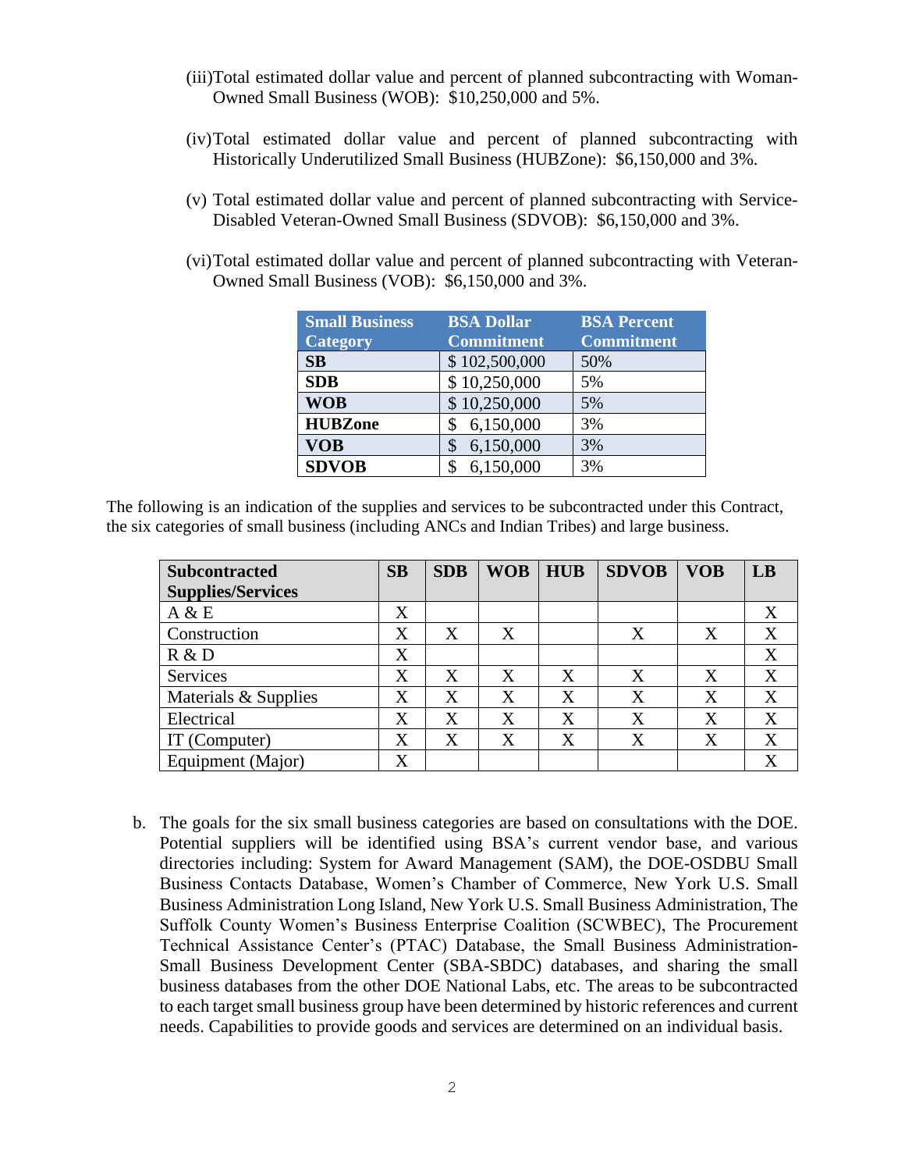- (iii)Total estimated dollar value and percent of planned subcontracting with Woman-Owned Small Business (WOB): \$10,250,000 and 5%.
- (iv)Total estimated dollar value and percent of planned subcontracting with Historically Underutilized Small Business (HUBZone): \$6,150,000 and 3%.
- (v) Total estimated dollar value and percent of planned subcontracting with Service-Disabled Veteran-Owned Small Business (SDVOB): \$6,150,000 and 3%.
- (vi)Total estimated dollar value and percent of planned subcontracting with Veteran-Owned Small Business (VOB): \$6,150,000 and 3%.

| <b>Small Business</b><br><b>Category</b> | <b>BSA Dollar</b><br><b>Commitment</b> | <b>BSA Percent</b><br><b>Commitment</b> |
|------------------------------------------|----------------------------------------|-----------------------------------------|
| SB                                       | \$102,500,000                          | 50%                                     |
| <b>SDB</b>                               | \$10,250,000                           | 5%                                      |
| <b>WOB</b>                               | \$10,250,000                           | 5%                                      |
| <b>HUBZone</b>                           | 6,150,000                              | 3%                                      |
| <b>VOB</b>                               | 6,150,000                              | 3%                                      |
| <b>SDVOB</b>                             | 6,150,000                              | 3%                                      |

The following is an indication of the supplies and services to be subcontracted under this Contract, the six categories of small business (including ANCs and Indian Tribes) and large business.

| <b>Subcontracted</b>     | SB                | <b>SDB</b> | <b>WOB</b> | <b>HUB</b> | <b>SDVOB</b> | <b>VOB</b> | LB                |
|--------------------------|-------------------|------------|------------|------------|--------------|------------|-------------------|
| <b>Supplies/Services</b> |                   |            |            |            |              |            |                   |
| A & E                    | X                 |            |            |            |              |            | X                 |
| Construction             | X                 | X          | X          |            | X            | X          | X                 |
| R & D                    | X                 |            |            |            |              |            | X                 |
| Services                 | X                 | X          | X          | X          | X            | X          | X                 |
| Materials & Supplies     | X                 | X          | X          | X          | X            | X          | X                 |
| Electrical               | $\rm\overline{X}$ | X          | X          | X          | X            | X          | X                 |
| IT (Computer)            | $\rm\overline{X}$ | X          | X          | X          | X            | X          | X                 |
| Equipment (Major)        | X                 |            |            |            |              |            | $\rm\overline{X}$ |

b. The goals for the six small business categories are based on consultations with the DOE. Potential suppliers will be identified using BSA's current vendor base, and various directories including: System for Award Management (SAM), the DOE-OSDBU Small Business Contacts Database, Women's Chamber of Commerce, New York U.S. Small Business Administration Long Island, New York U.S. Small Business Administration, The Suffolk County Women's Business Enterprise Coalition (SCWBEC), The Procurement Technical Assistance Center's (PTAC) Database, the Small Business Administration-Small Business Development Center (SBA-SBDC) databases, and sharing the small business databases from the other DOE National Labs, etc. The areas to be subcontracted to each target small business group have been determined by historic references and current needs. Capabilities to provide goods and services are determined on an individual basis.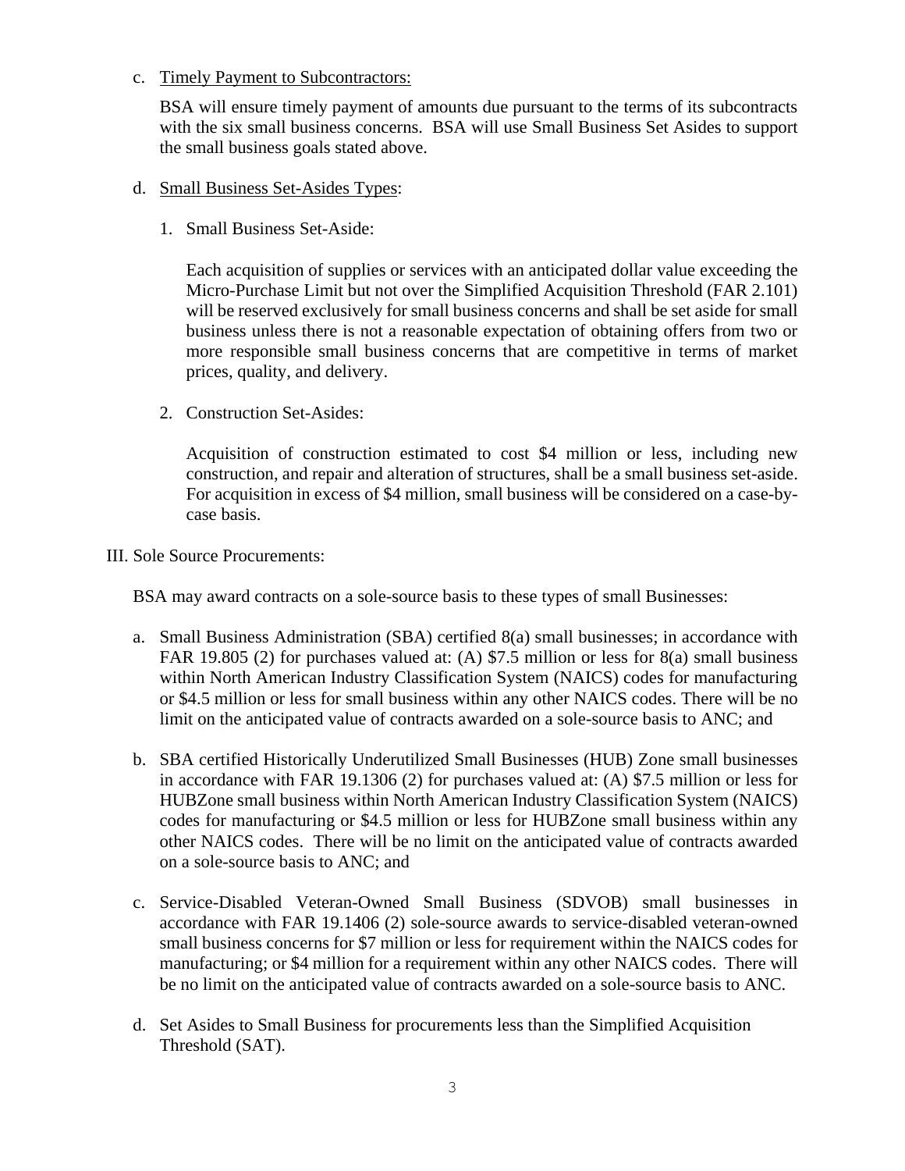### c. Timely Payment to Subcontractors:

BSA will ensure timely payment of amounts due pursuant to the terms of its subcontracts with the six small business concerns. BSA will use Small Business Set Asides to support the small business goals stated above.

- d. Small Business Set-Asides Types:
	- 1. Small Business Set-Aside:

 Each acquisition of supplies or services with an anticipated dollar value exceeding the Micro-Purchase Limit but not over the Simplified Acquisition Threshold (FAR 2.101) will be reserved exclusively for small business concerns and shall be set aside for small business unless there is not a reasonable expectation of obtaining offers from two or more responsible small business concerns that are competitive in terms of market prices, quality, and delivery.

2. Construction Set-Asides:

Acquisition of construction estimated to cost \$4 million or less, including new construction, and repair and alteration of structures, shall be a small business set-aside. For acquisition in excess of \$4 million, small business will be considered on a case-bycase basis.

III. Sole Source Procurements:

BSA may award contracts on a sole-source basis to these types of small Businesses:

- a. Small Business Administration (SBA) certified 8(a) small businesses; in accordance with FAR 19.805 (2) for purchases valued at: (A) \$7.5 million or less for 8(a) small business within North American Industry Classification System (NAICS) codes for manufacturing or \$4.5 million or less for small business within any other NAICS codes. There will be no limit on the anticipated value of contracts awarded on a sole-source basis to ANC; and
- b. SBA certified Historically Underutilized Small Businesses (HUB) Zone small businesses in accordance with FAR 19.1306 (2) for purchases valued at: (A) \$7.5 million or less for HUBZone small business within North American Industry Classification System (NAICS) codes for manufacturing or \$4.5 million or less for HUBZone small business within any other NAICS codes. There will be no limit on the anticipated value of contracts awarded on a sole-source basis to ANC; and
- c. Service-Disabled Veteran-Owned Small Business (SDVOB) small businesses in accordance with FAR 19.1406 (2) sole-source awards to service-disabled veteran-owned small business concerns for \$7 million or less for requirement within the NAICS codes for manufacturing; or \$4 million for a requirement within any other NAICS codes. There will be no limit on the anticipated value of contracts awarded on a sole-source basis to ANC.
- d. Set Asides to Small Business for procurements less than the Simplified Acquisition Threshold (SAT).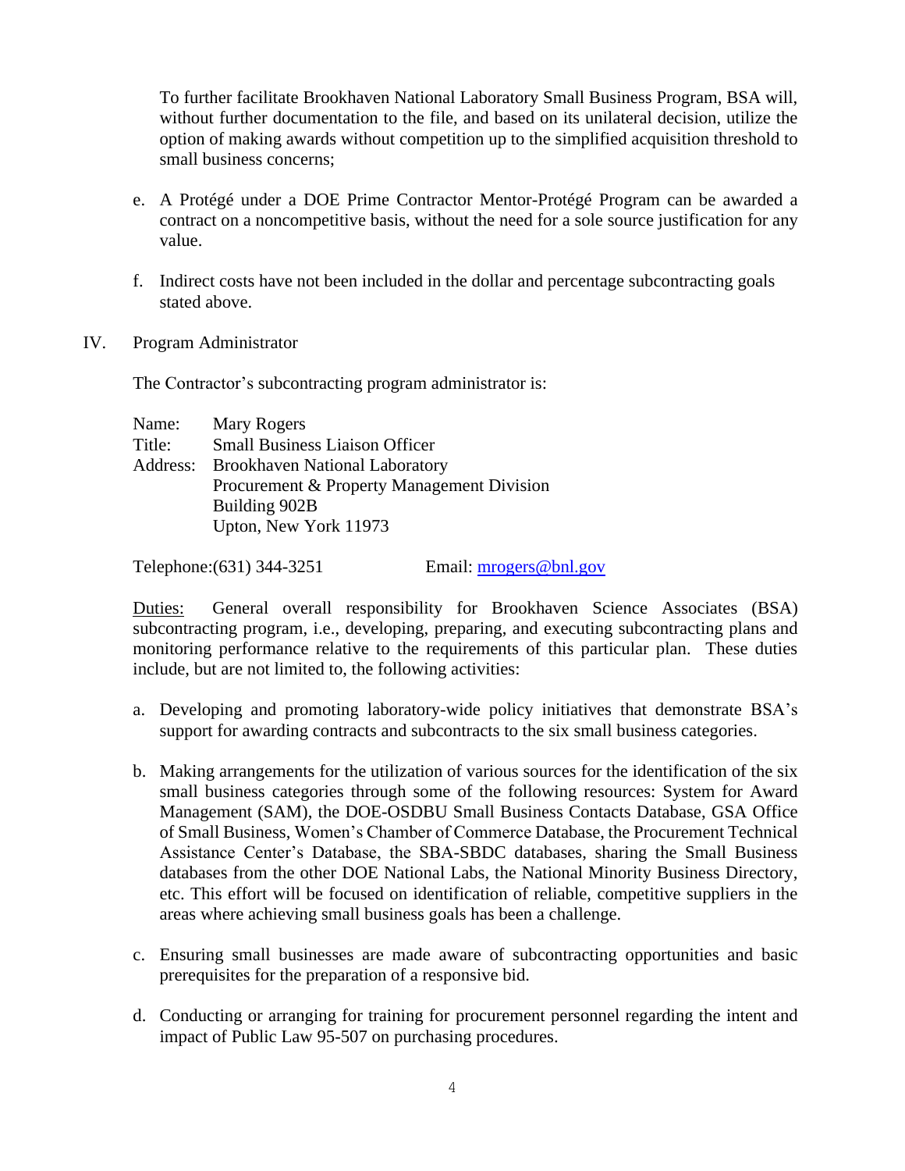To further facilitate Brookhaven National Laboratory Small Business Program, BSA will, without further documentation to the file, and based on its unilateral decision, utilize the option of making awards without competition up to the simplified acquisition threshold to small business concerns;

- e. A Protégé under a DOE Prime Contractor Mentor-Protégé Program can be awarded a contract on a noncompetitive basis, without the need for a sole source justification for any value.
- f. Indirect costs have not been included in the dollar and percentage subcontracting goals stated above.
- IV. Program Administrator

The Contractor's subcontracting program administrator is:

| Name:    | <b>Mary Rogers</b>                         |
|----------|--------------------------------------------|
| Title:   | <b>Small Business Liaison Officer</b>      |
| Address: | <b>Brookhaven National Laboratory</b>      |
|          | Procurement & Property Management Division |
|          | Building 902B                              |
|          | Upton, New York 11973                      |

Telephone:(631) 344-3251 Email: [mrogers@bnl.gov](mailto:mrogers@bnl.gov)

Duties: General overall responsibility for Brookhaven Science Associates (BSA) subcontracting program, i.e., developing, preparing, and executing subcontracting plans and monitoring performance relative to the requirements of this particular plan. These duties include, but are not limited to, the following activities:

- a. Developing and promoting laboratory-wide policy initiatives that demonstrate BSA's support for awarding contracts and subcontracts to the six small business categories.
- b. Making arrangements for the utilization of various sources for the identification of the six small business categories through some of the following resources: System for Award Management (SAM), the DOE-OSDBU Small Business Contacts Database, GSA Office of Small Business, Women's Chamber of Commerce Database, the Procurement Technical Assistance Center's Database, the SBA-SBDC databases, sharing the Small Business databases from the other DOE National Labs, the National Minority Business Directory, etc. This effort will be focused on identification of reliable, competitive suppliers in the areas where achieving small business goals has been a challenge.
- c. Ensuring small businesses are made aware of subcontracting opportunities and basic prerequisites for the preparation of a responsive bid.
- d. Conducting or arranging for training for procurement personnel regarding the intent and impact of Public Law 95-507 on purchasing procedures.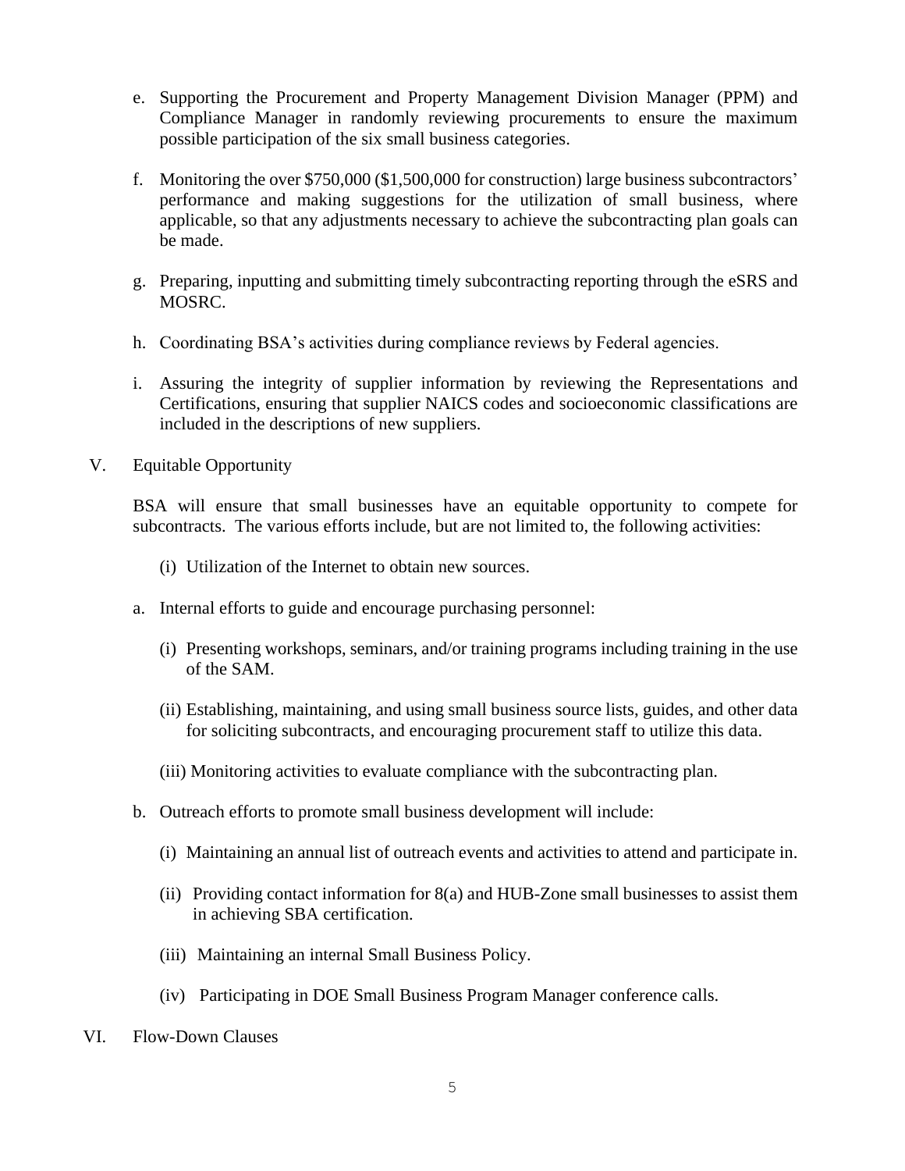- e. Supporting the Procurement and Property Management Division Manager (PPM) and Compliance Manager in randomly reviewing procurements to ensure the maximum possible participation of the six small business categories.
- f. Monitoring the over \$750,000 (\$1,500,000 for construction) large business subcontractors' performance and making suggestions for the utilization of small business, where applicable, so that any adjustments necessary to achieve the subcontracting plan goals can be made.
- g. Preparing, inputting and submitting timely subcontracting reporting through the eSRS and MOSRC.
- h. Coordinating BSA's activities during compliance reviews by Federal agencies.
- i. Assuring the integrity of supplier information by reviewing the Representations and Certifications, ensuring that supplier NAICS codes and socioeconomic classifications are included in the descriptions of new suppliers.
- V. Equitable Opportunity

BSA will ensure that small businesses have an equitable opportunity to compete for subcontracts. The various efforts include, but are not limited to, the following activities:

- (i) Utilization of the Internet to obtain new sources.
- a. Internal efforts to guide and encourage purchasing personnel:
	- (i) Presenting workshops, seminars, and/or training programs including training in the use of the SAM.
	- (ii) Establishing, maintaining, and using small business source lists, guides, and other data for soliciting subcontracts, and encouraging procurement staff to utilize this data.
	- (iii) Monitoring activities to evaluate compliance with the subcontracting plan.
- b. Outreach efforts to promote small business development will include:
	- (i) Maintaining an annual list of outreach events and activities to attend and participate in.
	- (ii) Providing contact information for 8(a) and HUB-Zone small businesses to assist them in achieving SBA certification.
	- (iii) Maintaining an internal Small Business Policy.
	- (iv) Participating in DOE Small Business Program Manager conference calls.
- VI. Flow-Down Clauses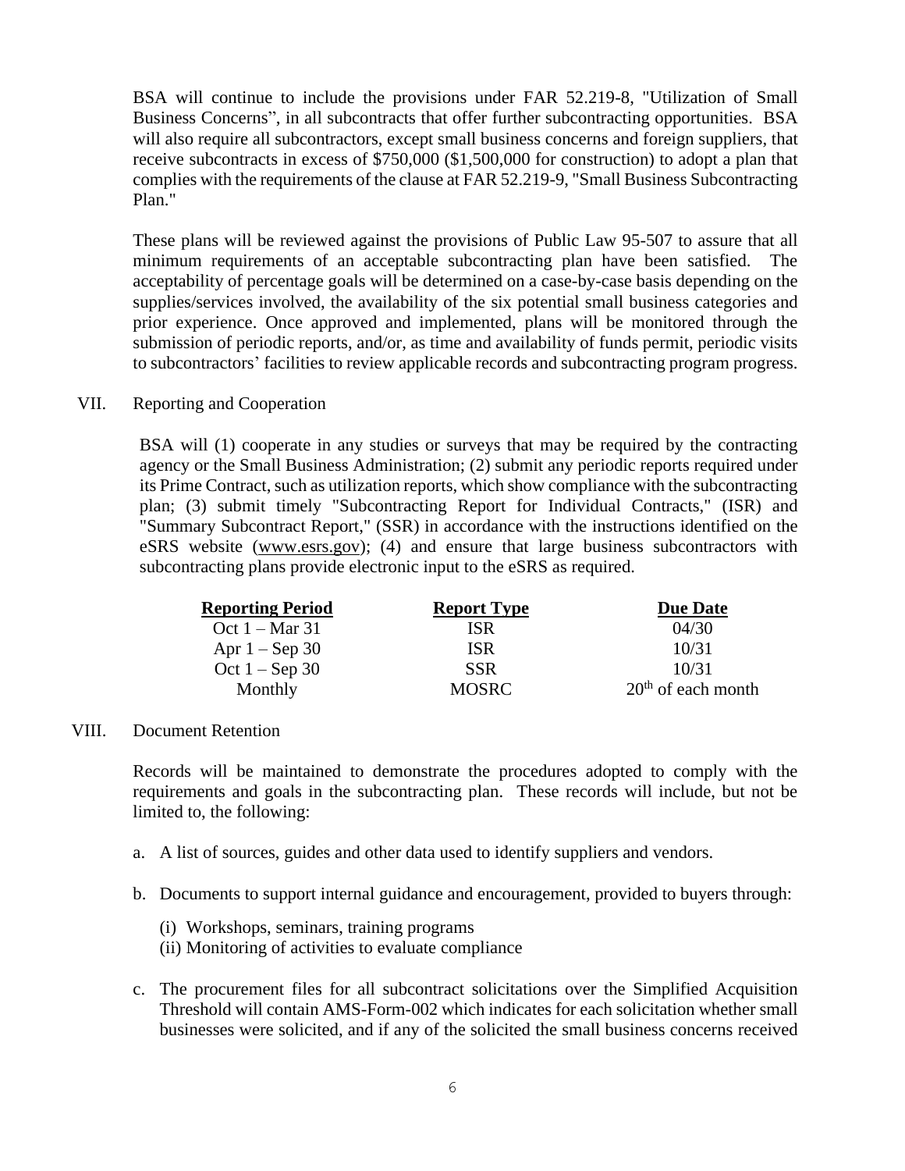BSA will continue to include the provisions under FAR 52.219-8, "Utilization of Small Business Concerns", in all subcontracts that offer further subcontracting opportunities. BSA will also require all subcontractors, except small business concerns and foreign suppliers, that receive subcontracts in excess of \$750,000 (\$1,500,000 for construction) to adopt a plan that complies with the requirements of the clause at FAR 52.219-9, "Small Business Subcontracting Plan."

These plans will be reviewed against the provisions of Public Law 95-507 to assure that all minimum requirements of an acceptable subcontracting plan have been satisfied. The acceptability of percentage goals will be determined on a case-by-case basis depending on the supplies/services involved, the availability of the six potential small business categories and prior experience. Once approved and implemented, plans will be monitored through the submission of periodic reports, and/or, as time and availability of funds permit, periodic visits to subcontractors' facilities to review applicable records and subcontracting program progress.

#### VII. Reporting and Cooperation

BSA will (1) cooperate in any studies or surveys that may be required by the contracting agency or the Small Business Administration; (2) submit any periodic reports required under its Prime Contract, such as utilization reports, which show compliance with the subcontracting plan; (3) submit timely "Subcontracting Report for Individual Contracts," (ISR) and "Summary Subcontract Report," (SSR) in accordance with the instructions identified on the eSRS website [\(www.esrs.gov\)](http://www.esrs.gov/); (4) and ensure that large business subcontractors with subcontracting plans provide electronic input to the eSRS as required.

| <b>Reporting Period</b>  | <b>Report Type</b> | <b>Due Date</b>      |
|--------------------------|--------------------|----------------------|
| Oct $1 - \text{Mar } 31$ | ISR                | 04/30                |
| Apr $1 -$ Sep 30         | <b>ISR</b>         | 10/31                |
| Oct $1 -$ Sep 30         | <b>SSR</b>         | 10/31                |
| Monthly                  | <b>MOSRC</b>       | $20th$ of each month |

#### VIII. Document Retention

Records will be maintained to demonstrate the procedures adopted to comply with the requirements and goals in the subcontracting plan. These records will include, but not be limited to, the following:

- a. A list of sources, guides and other data used to identify suppliers and vendors.
- b. Documents to support internal guidance and encouragement, provided to buyers through:
	- (i) Workshops, seminars, training programs
	- (ii) Monitoring of activities to evaluate compliance
- c. The procurement files for all subcontract solicitations over the Simplified Acquisition Threshold will contain AMS-Form-002 which indicates for each solicitation whether small businesses were solicited, and if any of the solicited the small business concerns received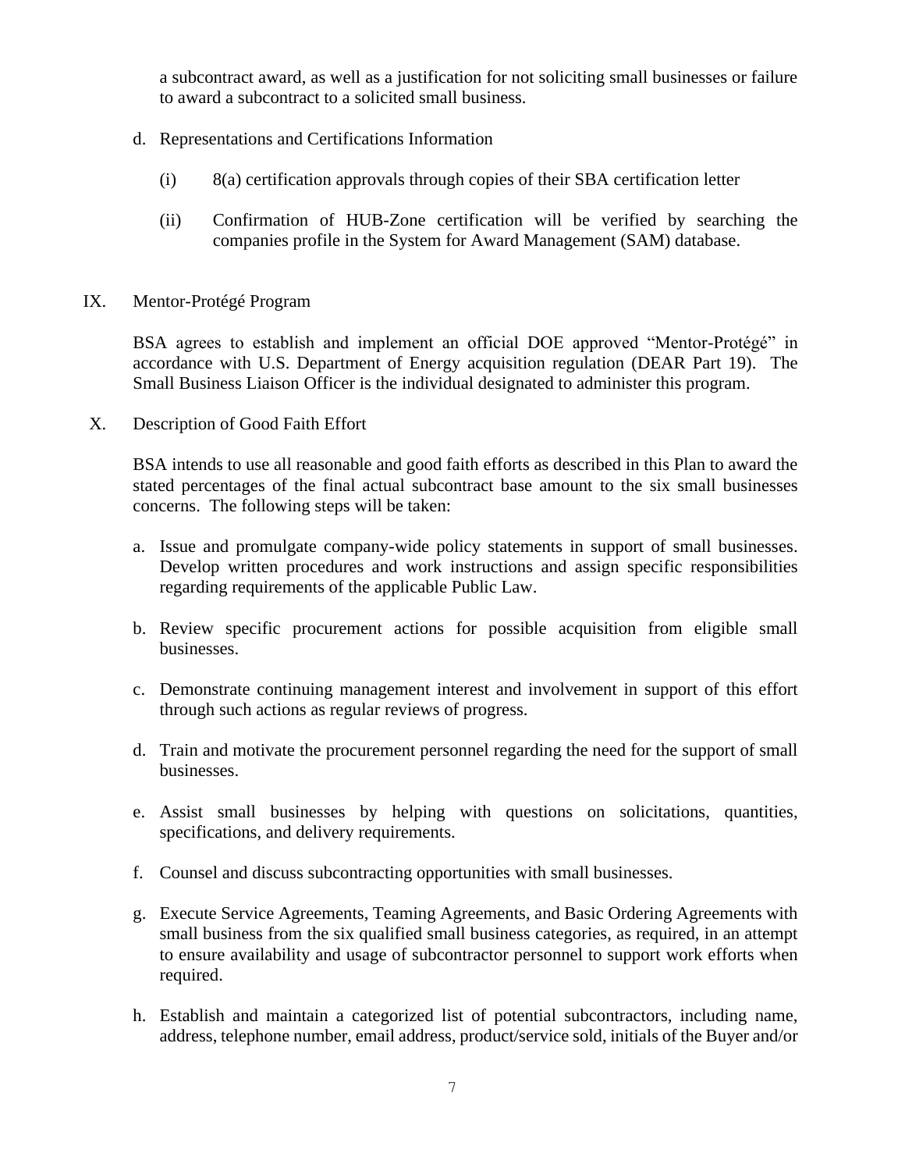a subcontract award, as well as a justification for not soliciting small businesses or failure to award a subcontract to a solicited small business.

- d. Representations and Certifications Information
	- (i) 8(a) certification approvals through copies of their SBA certification letter
	- (ii) Confirmation of HUB-Zone certification will be verified by searching the companies profile in the System for Award Management (SAM) database.
- IX. Mentor-Protégé Program

BSA agrees to establish and implement an official DOE approved "Mentor-Protégé" in accordance with U.S. Department of Energy acquisition regulation (DEAR Part 19). The Small Business Liaison Officer is the individual designated to administer this program.

X. Description of Good Faith Effort

BSA intends to use all reasonable and good faith efforts as described in this Plan to award the stated percentages of the final actual subcontract base amount to the six small businesses concerns. The following steps will be taken:

- a. Issue and promulgate company-wide policy statements in support of small businesses. Develop written procedures and work instructions and assign specific responsibilities regarding requirements of the applicable Public Law.
- b. Review specific procurement actions for possible acquisition from eligible small businesses.
- c. Demonstrate continuing management interest and involvement in support of this effort through such actions as regular reviews of progress.
- d. Train and motivate the procurement personnel regarding the need for the support of small businesses.
- e. Assist small businesses by helping with questions on solicitations, quantities, specifications, and delivery requirements.
- f. Counsel and discuss subcontracting opportunities with small businesses.
- g. Execute Service Agreements, Teaming Agreements, and Basic Ordering Agreements with small business from the six qualified small business categories, as required, in an attempt to ensure availability and usage of subcontractor personnel to support work efforts when required.
- h. Establish and maintain a categorized list of potential subcontractors, including name, address, telephone number, email address, product/service sold, initials of the Buyer and/or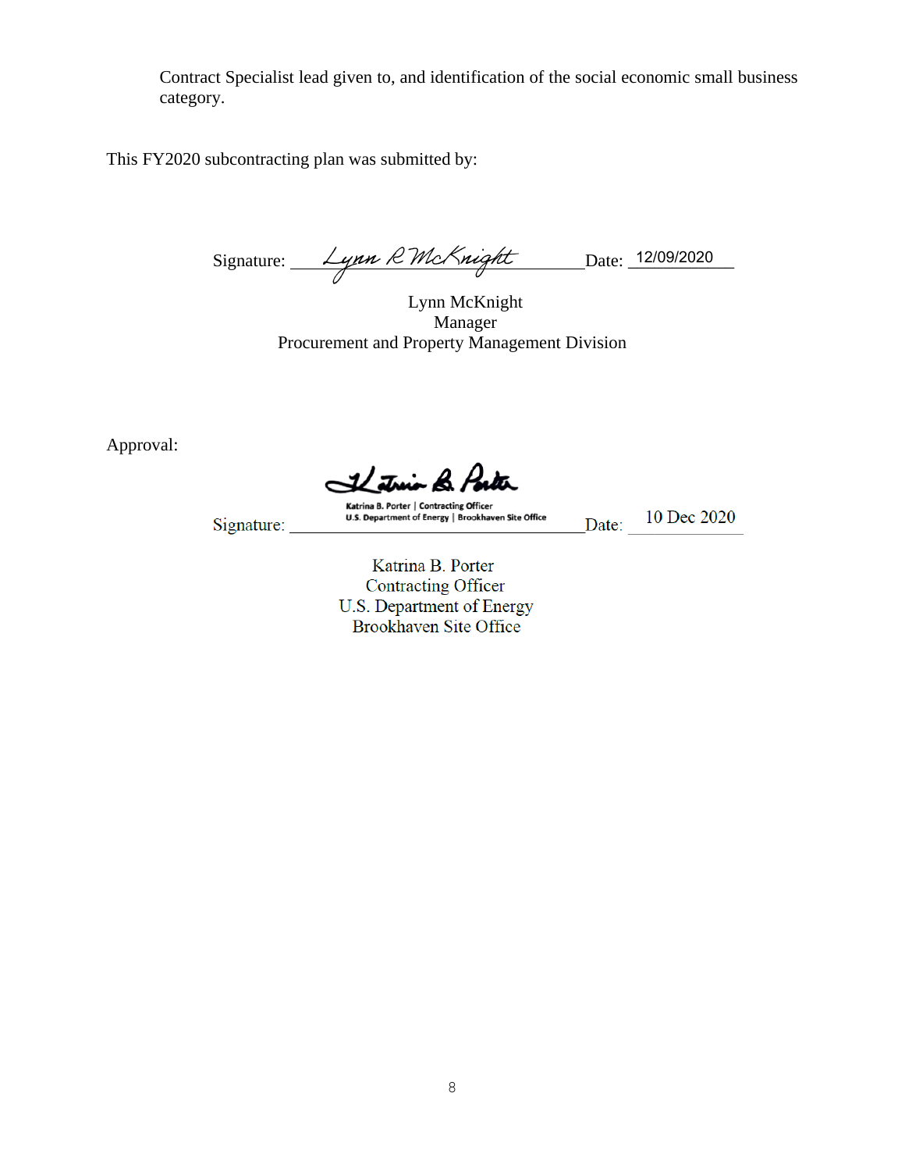Contract Specialist lead given to, and identification of the social economic small business category.

This FY2020 subcontracting plan was submitted by:

Signature:  $\mu_{\mu} \mathcal{L}_{\mu}$   $\mu_{\mu} \mathcal{L}_{\mu}$   $\mu_{\mu}$   $\mu_{\mu}$   $\mu_{\mu}$   $\mu_{\mu}$   $\mu_{\mu}$   $\mu_{\mu}$   $\mu_{\mu}$   $\mu_{\mu}$   $\mu_{\mu}$   $\mu_{\mu}$   $\mu_{\mu}$   $\mu_{\mu}$   $\mu_{\mu}$   $\mu_{\mu}$   $\mu_{\mu}$   $\mu_{\mu}$   $\mu_{\mu}$   $\mu_{\mu}$   $\mu_{\mu}$   $\mu$ 

Lynn McKnight Manager Procurement and Property Management Division

Approval:

1Lútnio Br Por

Signature:

Katrina B. Porter | Contracting Officer U.S. Department of Energy | Brookhaven Site Office

Date: 10 Dec 2020

Contracting Officer U.S. Department of Energy Brookhaven Site Office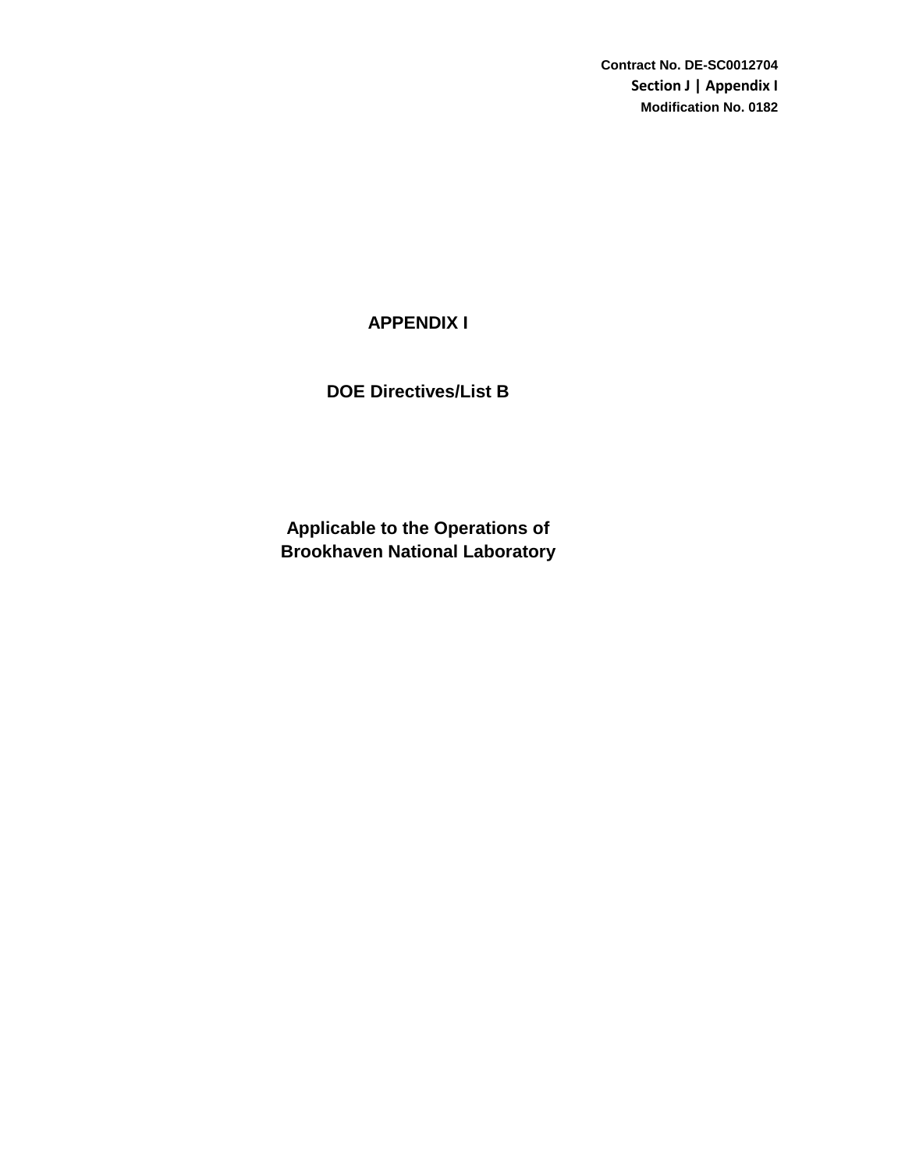**Contract No. DE-SC0012704 Section J | Appendix I Modification No. 0182**

# **APPENDIX I**

# **DOE Directives/List B**

**Brookhaven National Laboratory Applicable to the Operations of**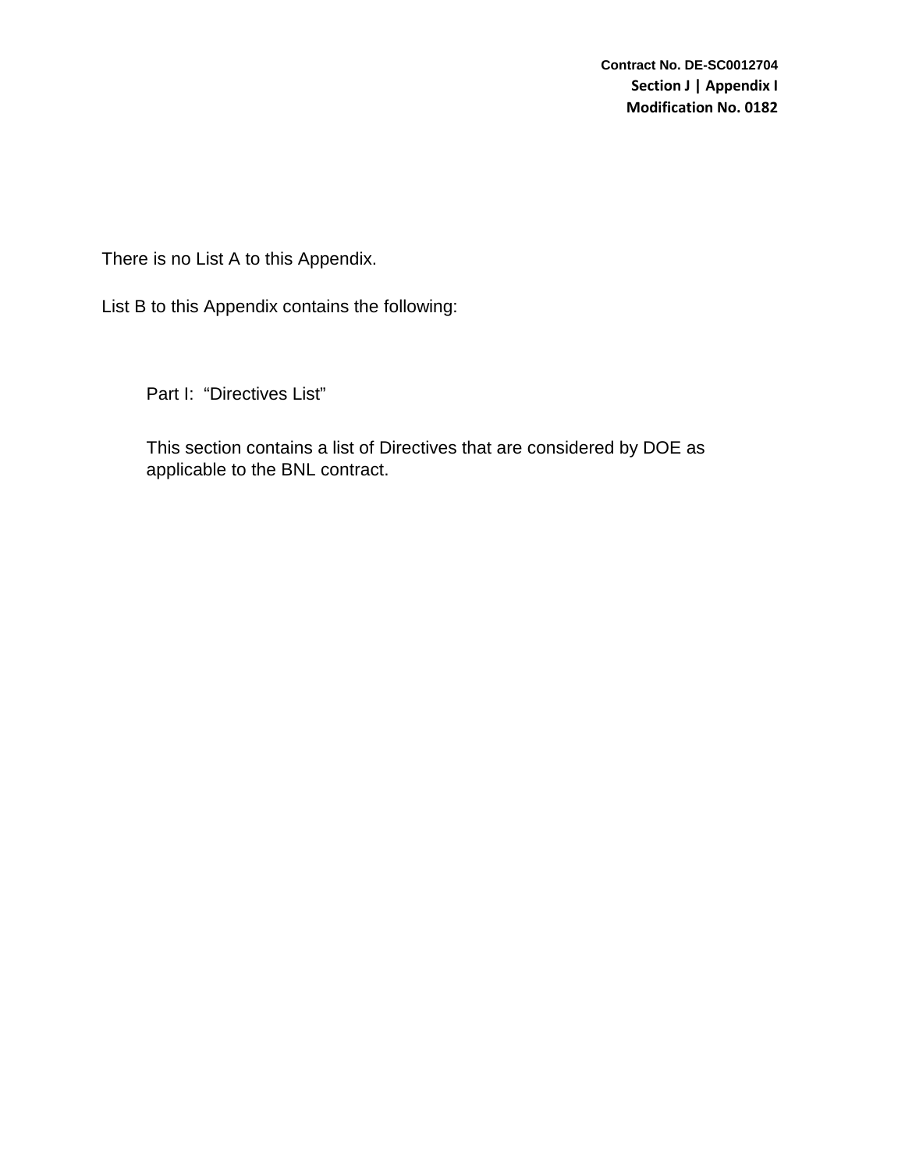There is no List A to this Appendix.

List B to this Appendix contains the following:

Part I: "Directives List"

This section contains a list of Directives that are considered by DOE as applicable to the BNL contract.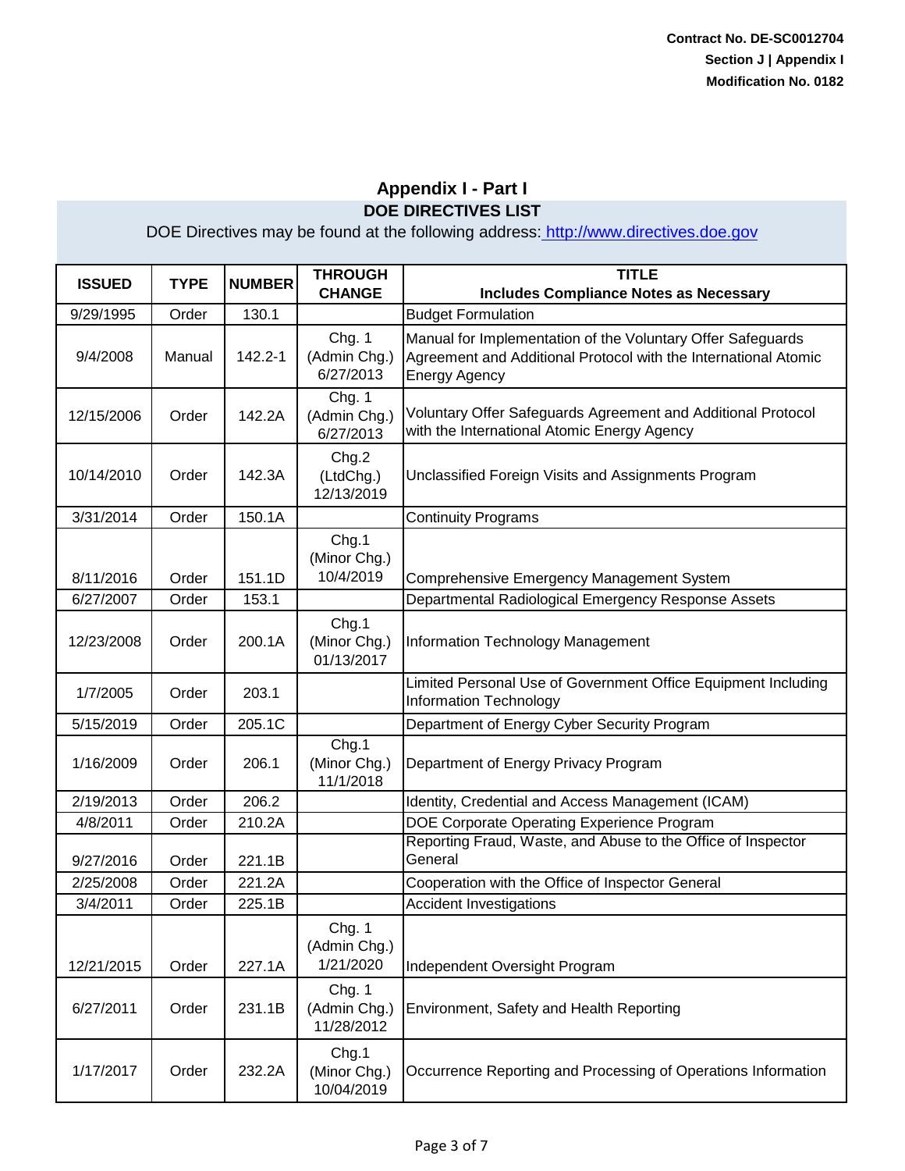| <b>ISSUED</b> | <b>TYPE</b> | <b>NUMBER</b> | <b>THROUGH</b><br><b>CHANGE</b>      | <b>TITLE</b><br><b>Includes Compliance Notes as Necessary</b>                                                                                          |
|---------------|-------------|---------------|--------------------------------------|--------------------------------------------------------------------------------------------------------------------------------------------------------|
| 9/29/1995     | Order       | 130.1         |                                      | <b>Budget Formulation</b>                                                                                                                              |
| 9/4/2008      | Manual      | 142.2-1       | Chg. 1<br>(Admin Chg.)<br>6/27/2013  | Manual for Implementation of the Voluntary Offer Safeguards<br>Agreement and Additional Protocol with the International Atomic<br><b>Energy Agency</b> |
| 12/15/2006    | Order       | 142.2A        | Chg. 1<br>(Admin Chg.)<br>6/27/2013  | Voluntary Offer Safeguards Agreement and Additional Protocol<br>with the International Atomic Energy Agency                                            |
| 10/14/2010    | Order       | 142.3A        | Chg.2<br>(LtdChg.)<br>12/13/2019     | Unclassified Foreign Visits and Assignments Program                                                                                                    |
| 3/31/2014     | Order       | 150.1A        |                                      | <b>Continuity Programs</b>                                                                                                                             |
| 8/11/2016     | Order       | 151.1D        | Chg.1<br>(Minor Chg.)<br>10/4/2019   | Comprehensive Emergency Management System                                                                                                              |
| 6/27/2007     | Order       | 153.1         |                                      | Departmental Radiological Emergency Response Assets                                                                                                    |
| 12/23/2008    | Order       | 200.1A        | Chg.1<br>(Minor Chg.)<br>01/13/2017  | Information Technology Management                                                                                                                      |
| 1/7/2005      | Order       | 203.1         |                                      | Limited Personal Use of Government Office Equipment Including<br><b>Information Technology</b>                                                         |
| 5/15/2019     | Order       | 205.1C        |                                      | Department of Energy Cyber Security Program                                                                                                            |
| 1/16/2009     | Order       | 206.1         | Chg.1<br>(Minor Chg.)<br>11/1/2018   | Department of Energy Privacy Program                                                                                                                   |
| 2/19/2013     | Order       | 206.2         |                                      | Identity, Credential and Access Management (ICAM)                                                                                                      |
| 4/8/2011      | Order       | 210.2A        |                                      | DOE Corporate Operating Experience Program                                                                                                             |
| 9/27/2016     | Order       | 221.1B        |                                      | Reporting Fraud, Waste, and Abuse to the Office of Inspector<br>General                                                                                |
| 2/25/2008     | Order       | 221.2A        |                                      | Cooperation with the Office of Inspector General                                                                                                       |
| 3/4/2011      | Order       | 225.1B        |                                      | <b>Accident Investigations</b>                                                                                                                         |
| 12/21/2015    | Order       | 227.1A        | Chg. 1<br>(Admin Chg.)<br>1/21/2020  | Independent Oversight Program                                                                                                                          |
| 6/27/2011     | Order       | 231.1B        | Chg. 1<br>(Admin Chg.)<br>11/28/2012 | Environment, Safety and Health Reporting                                                                                                               |
| 1/17/2017     | Order       | 232.2A        | Chg.1<br>(Minor Chg.)<br>10/04/2019  | Occurrence Reporting and Processing of Operations Information                                                                                          |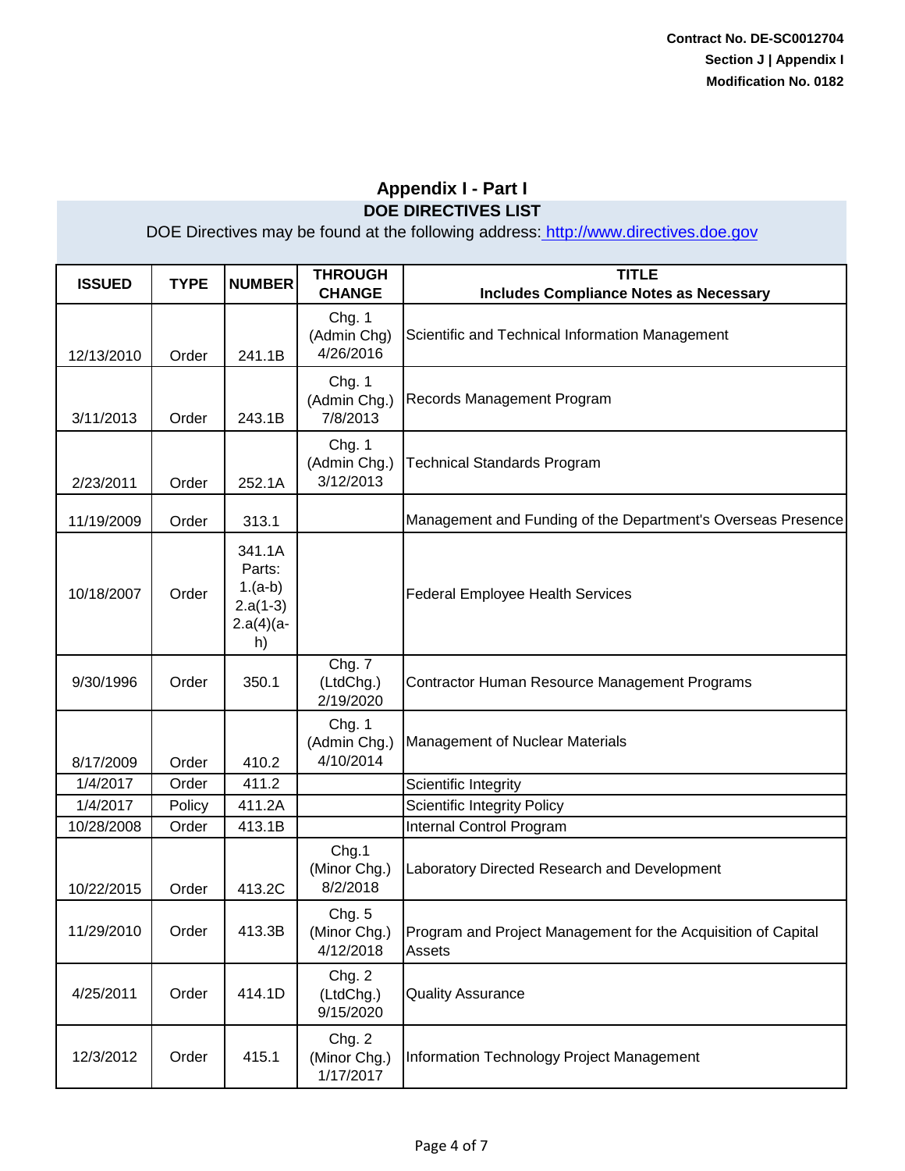| <b>ISSUED</b> | <b>TYPE</b> | <b>NUMBER</b>                                                     | <b>THROUGH</b><br><b>CHANGE</b>     | <b>TITLE</b><br><b>Includes Compliance Notes as Necessary</b>           |
|---------------|-------------|-------------------------------------------------------------------|-------------------------------------|-------------------------------------------------------------------------|
| 12/13/2010    | Order       | 241.1B                                                            | Chg. 1<br>(Admin Chg)<br>4/26/2016  | Scientific and Technical Information Management                         |
| 3/11/2013     | Order       | 243.1B                                                            | Chg. 1<br>(Admin Chg.)<br>7/8/2013  | Records Management Program                                              |
| 2/23/2011     | Order       | 252.1A                                                            | Chg. 1<br>(Admin Chg.)<br>3/12/2013 | <b>Technical Standards Program</b>                                      |
| 11/19/2009    | Order       | 313.1                                                             |                                     | Management and Funding of the Department's Overseas Presence            |
| 10/18/2007    | Order       | 341.1A<br>Parts:<br>$1.(a-b)$<br>$2.a(1-3)$<br>$2.a(4)(a -$<br>h) |                                     | <b>Federal Employee Health Services</b>                                 |
| 9/30/1996     | Order       | 350.1                                                             | Chg. 7<br>(LtdChg.)<br>2/19/2020    | Contractor Human Resource Management Programs                           |
| 8/17/2009     | Order       | 410.2                                                             | Chg. 1<br>(Admin Chg.)<br>4/10/2014 | Management of Nuclear Materials                                         |
| 1/4/2017      | Order       | 411.2                                                             |                                     | Scientific Integrity                                                    |
| 1/4/2017      | Policy      | 411.2A                                                            |                                     | <b>Scientific Integrity Policy</b>                                      |
| 10/28/2008    | Order       | 413.1B                                                            |                                     | Internal Control Program                                                |
| 10/22/2015    | Order       | 413.2C                                                            | Chg.1<br>(Minor Chg.)<br>8/2/2018   | Laboratory Directed Research and Development                            |
| 11/29/2010    | Order       | 413.3B                                                            | Chg. 5<br>(Minor Chg.)<br>4/12/2018 | Program and Project Management for the Acquisition of Capital<br>Assets |
| 4/25/2011     | Order       | 414.1D                                                            | Chg. 2<br>(LtdChg.)<br>9/15/2020    | <b>Quality Assurance</b>                                                |
| 12/3/2012     | Order       | 415.1                                                             | Chg. 2<br>(Minor Chg.)<br>1/17/2017 | Information Technology Project Management                               |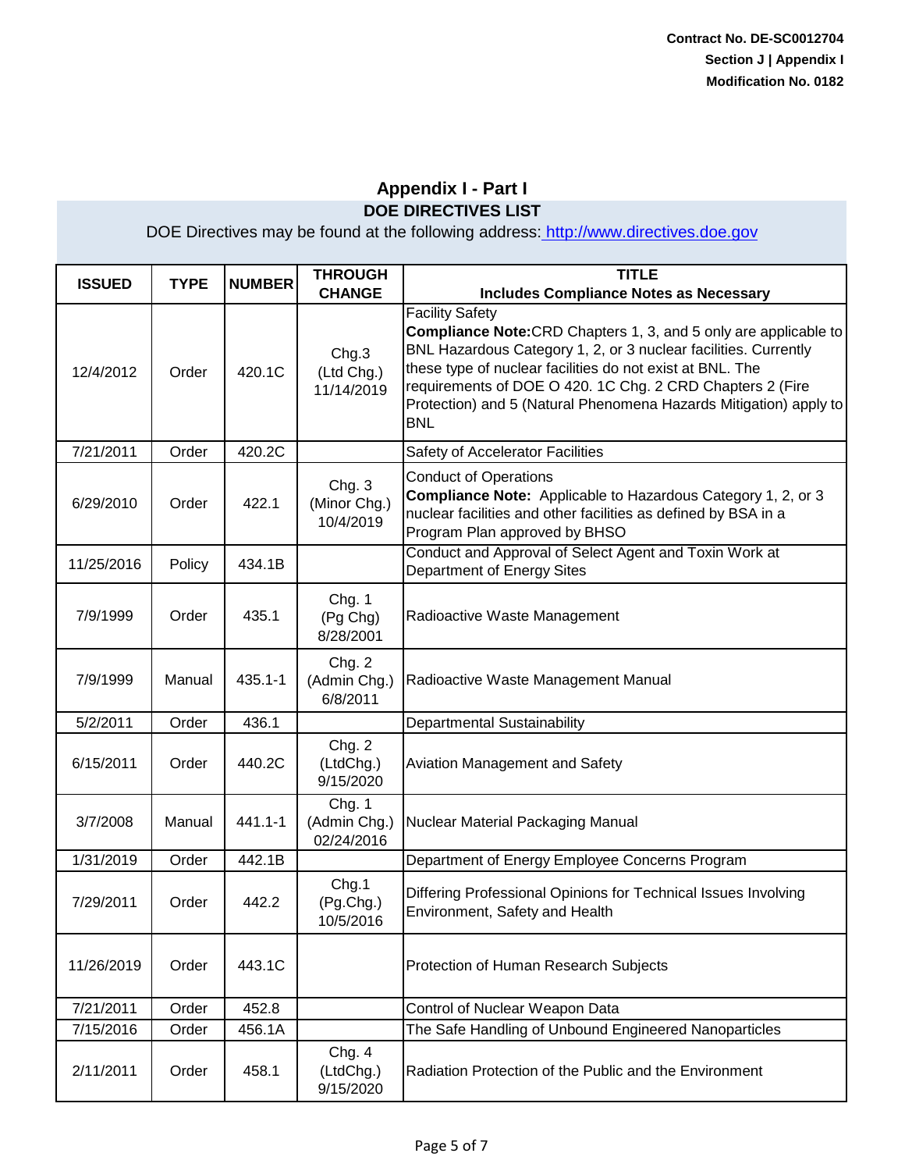| <b>ISSUED</b> | <b>TYPE</b> | <b>NUMBER</b> | <b>THROUGH</b><br><b>CHANGE</b>      | <b>TITLE</b><br><b>Includes Compliance Notes as Necessary</b>                                                                                                                                                                                                                                                                                                                     |
|---------------|-------------|---------------|--------------------------------------|-----------------------------------------------------------------------------------------------------------------------------------------------------------------------------------------------------------------------------------------------------------------------------------------------------------------------------------------------------------------------------------|
| 12/4/2012     | Order       | 420.1C        | Chg.3<br>(Ltd Chg.)<br>11/14/2019    | <b>Facility Safety</b><br><b>Compliance Note:</b> CRD Chapters 1, 3, and 5 only are applicable to<br>BNL Hazardous Category 1, 2, or 3 nuclear facilities. Currently<br>these type of nuclear facilities do not exist at BNL. The<br>requirements of DOE O 420. 1C Chg. 2 CRD Chapters 2 (Fire<br>Protection) and 5 (Natural Phenomena Hazards Mitigation) apply to<br><b>BNL</b> |
| 7/21/2011     | Order       | 420.2C        |                                      | Safety of Accelerator Facilities                                                                                                                                                                                                                                                                                                                                                  |
| 6/29/2010     | Order       | 422.1         | Chg. 3<br>(Minor Chg.)<br>10/4/2019  | <b>Conduct of Operations</b><br><b>Compliance Note:</b> Applicable to Hazardous Category 1, 2, or 3<br>nuclear facilities and other facilities as defined by BSA in a<br>Program Plan approved by BHSO                                                                                                                                                                            |
| 11/25/2016    | Policy      | 434.1B        |                                      | Conduct and Approval of Select Agent and Toxin Work at<br><b>Department of Energy Sites</b>                                                                                                                                                                                                                                                                                       |
| 7/9/1999      | Order       | 435.1         | Chg. 1<br>(Pg Chg)<br>8/28/2001      | Radioactive Waste Management                                                                                                                                                                                                                                                                                                                                                      |
| 7/9/1999      | Manual      | $435.1 - 1$   | Chg. 2<br>(Admin Chg.)<br>6/8/2011   | Radioactive Waste Management Manual                                                                                                                                                                                                                                                                                                                                               |
| 5/2/2011      | Order       | 436.1         |                                      | Departmental Sustainability                                                                                                                                                                                                                                                                                                                                                       |
| 6/15/2011     | Order       | 440.2C        | Chg. 2<br>(LtdChg.)<br>9/15/2020     | Aviation Management and Safety                                                                                                                                                                                                                                                                                                                                                    |
| 3/7/2008      | Manual      | 441.1-1       | Chg. 1<br>(Admin Chg.)<br>02/24/2016 | Nuclear Material Packaging Manual                                                                                                                                                                                                                                                                                                                                                 |
| 1/31/2019     | Order       | 442.1B        |                                      | Department of Energy Employee Concerns Program                                                                                                                                                                                                                                                                                                                                    |
| 7/29/2011     | Order       | 442.2         | Chg.1<br>(Pg.Chg.)<br>10/5/2016      | Differing Professional Opinions for Technical Issues Involving<br>Environment, Safety and Health                                                                                                                                                                                                                                                                                  |
| 11/26/2019    | Order       | 443.1C        |                                      | Protection of Human Research Subjects                                                                                                                                                                                                                                                                                                                                             |
| 7/21/2011     | Order       | 452.8         |                                      | Control of Nuclear Weapon Data                                                                                                                                                                                                                                                                                                                                                    |
| 7/15/2016     | Order       | 456.1A        |                                      | The Safe Handling of Unbound Engineered Nanoparticles                                                                                                                                                                                                                                                                                                                             |
| 2/11/2011     | Order       | 458.1         | Chg. 4<br>(LtdChg.)<br>9/15/2020     | Radiation Protection of the Public and the Environment                                                                                                                                                                                                                                                                                                                            |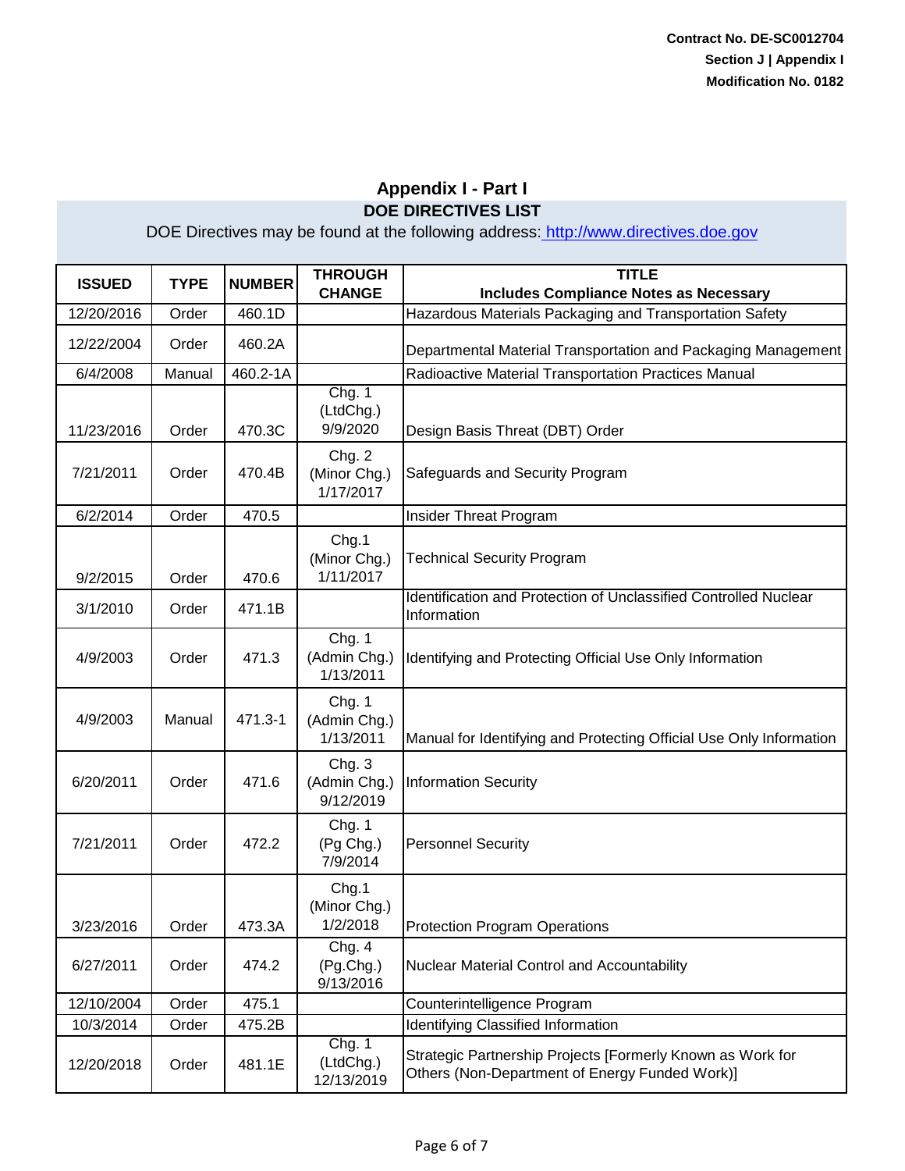| <b>ISSUED</b> | <b>TYPE</b> | <b>NUMBER</b> | <b>THROUGH</b><br><b>CHANGE</b>     | <b>TITLE</b><br><b>Includes Compliance Notes as Necessary</b>                                                |
|---------------|-------------|---------------|-------------------------------------|--------------------------------------------------------------------------------------------------------------|
| 12/20/2016    | Order       | 460.1D        |                                     | Hazardous Materials Packaging and Transportation Safety                                                      |
| 12/22/2004    | Order       | 460.2A        |                                     | Departmental Material Transportation and Packaging Management                                                |
| 6/4/2008      | Manual      | 460.2-1A      |                                     | Radioactive Material Transportation Practices Manual                                                         |
| 11/23/2016    | Order       | 470.3C        | Chg. 1<br>(LtdChg.)<br>9/9/2020     | Design Basis Threat (DBT) Order                                                                              |
| 7/21/2011     | Order       | 470.4B        | Chg. 2<br>(Minor Chg.)<br>1/17/2017 | Safeguards and Security Program                                                                              |
| 6/2/2014      | Order       | 470.5         |                                     | Insider Threat Program                                                                                       |
| 9/2/2015      | Order       | 470.6         | Chg.1<br>(Minor Chg.)<br>1/11/2017  | <b>Technical Security Program</b>                                                                            |
| 3/1/2010      | Order       | 471.1B        |                                     | Identification and Protection of Unclassified Controlled Nuclear<br>Information                              |
| 4/9/2003      | Order       | 471.3         | Chg. 1<br>(Admin Chg.)<br>1/13/2011 | Identifying and Protecting Official Use Only Information                                                     |
| 4/9/2003      | Manual      | 471.3-1       | Chg. 1<br>(Admin Chg.)<br>1/13/2011 | Manual for Identifying and Protecting Official Use Only Information                                          |
| 6/20/2011     | Order       | 471.6         | Chg. 3<br>(Admin Chg.)<br>9/12/2019 | <b>Information Security</b>                                                                                  |
| 7/21/2011     | Order       | 472.2         | Chg. 1<br>(Pg Chg.)<br>7/9/2014     | <b>Personnel Security</b>                                                                                    |
| 3/23/2016     | Order       | 473.3A        | Chg.1<br>(Minor Chg.)<br>1/2/2018   | <b>Protection Program Operations</b>                                                                         |
| 6/27/2011     | Order       | 474.2         | Chg. 4<br>(Pg.Chg.)<br>9/13/2016    | Nuclear Material Control and Accountability                                                                  |
| 12/10/2004    | Order       | 475.1         |                                     | Counterintelligence Program                                                                                  |
| 10/3/2014     | Order       | 475.2B        |                                     | Identifying Classified Information                                                                           |
| 12/20/2018    | Order       | 481.1E        | Chg. 1<br>(LtdChg.)<br>12/13/2019   | Strategic Partnership Projects [Formerly Known as Work for<br>Others (Non-Department of Energy Funded Work)] |